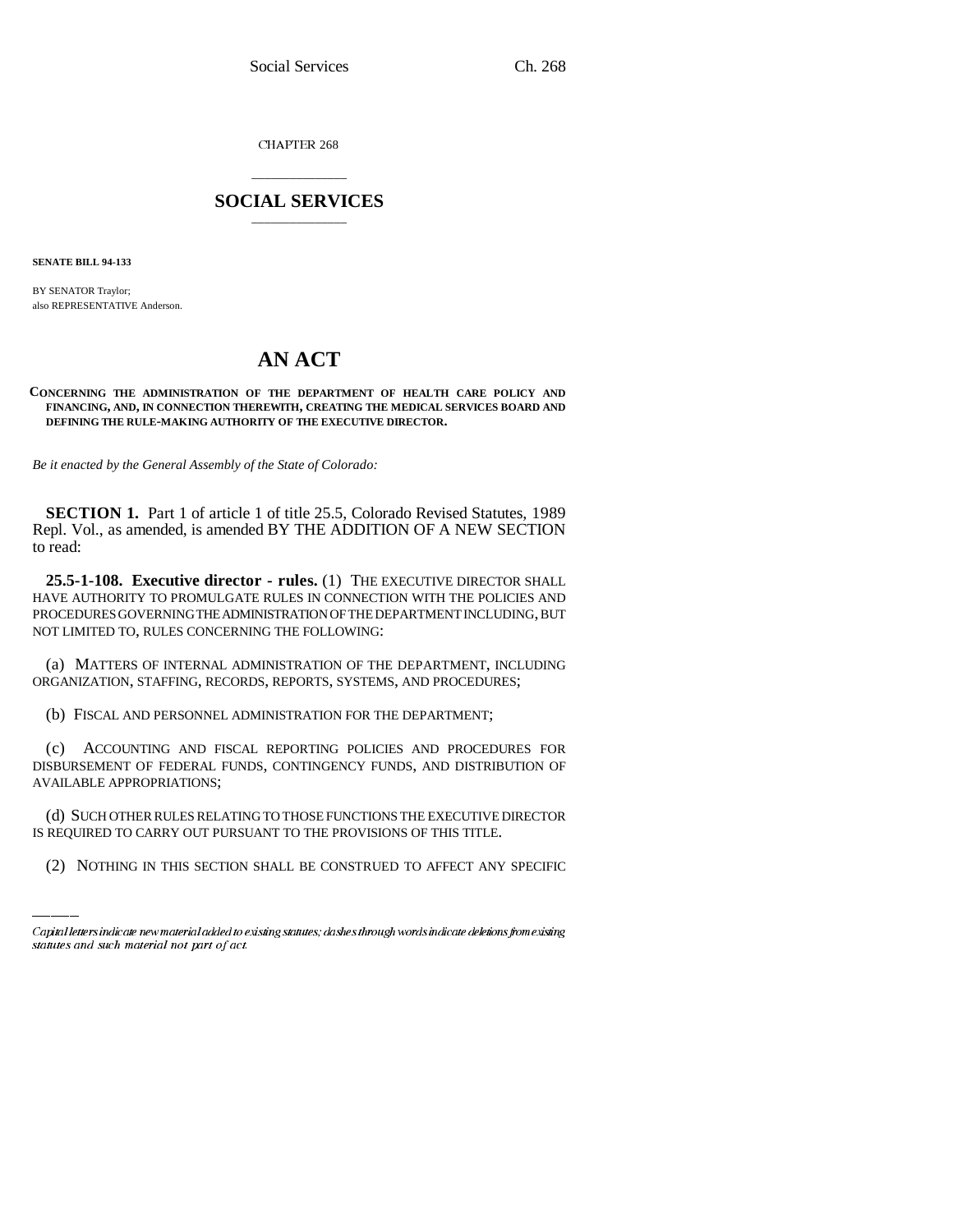CHAPTER 268

# \_\_\_\_\_\_\_\_\_\_\_\_\_\_\_ **SOCIAL SERVICES** \_\_\_\_\_\_\_\_\_\_\_\_\_\_\_

**SENATE BILL 94-133**

BY SENATOR Traylor; also REPRESENTATIVE Anderson.

# **AN ACT**

#### **CONCERNING THE ADMINISTRATION OF THE DEPARTMENT OF HEALTH CARE POLICY AND FINANCING, AND, IN CONNECTION THEREWITH, CREATING THE MEDICAL SERVICES BOARD AND DEFINING THE RULE-MAKING AUTHORITY OF THE EXECUTIVE DIRECTOR.**

*Be it enacted by the General Assembly of the State of Colorado:*

**SECTION 1.** Part 1 of article 1 of title 25.5, Colorado Revised Statutes, 1989 Repl. Vol., as amended, is amended BY THE ADDITION OF A NEW SECTION to read:

**25.5-1-108. Executive director - rules.** (1) THE EXECUTIVE DIRECTOR SHALL HAVE AUTHORITY TO PROMULGATE RULES IN CONNECTION WITH THE POLICIES AND PROCEDURES GOVERNING THE ADMINISTRATION OF THE DEPARTMENT INCLUDING, BUT NOT LIMITED TO, RULES CONCERNING THE FOLLOWING:

(a) MATTERS OF INTERNAL ADMINISTRATION OF THE DEPARTMENT, INCLUDING ORGANIZATION, STAFFING, RECORDS, REPORTS, SYSTEMS, AND PROCEDURES;

(b) FISCAL AND PERSONNEL ADMINISTRATION FOR THE DEPARTMENT;

(c) ACCOUNTING AND FISCAL REPORTING POLICIES AND PROCEDURES FOR DISBURSEMENT OF FEDERAL FUNDS, CONTINGENCY FUNDS, AND DISTRIBUTION OF AVAILABLE APPROPRIATIONS;

(d) SUCH OTHER RULES RELATING TO THOSE FUNCTIONS THE EXECUTIVE DIRECTOR IS REQUIRED TO CARRY OUT PURSUANT TO THE PROVISIONS OF THIS TITLE.

(2) NOTHING IN THIS SECTION SHALL BE CONSTRUED TO AFFECT ANY SPECIFIC

Capital letters indicate new material added to existing statutes; dashes through words indicate deletions from existing statutes and such material not part of act.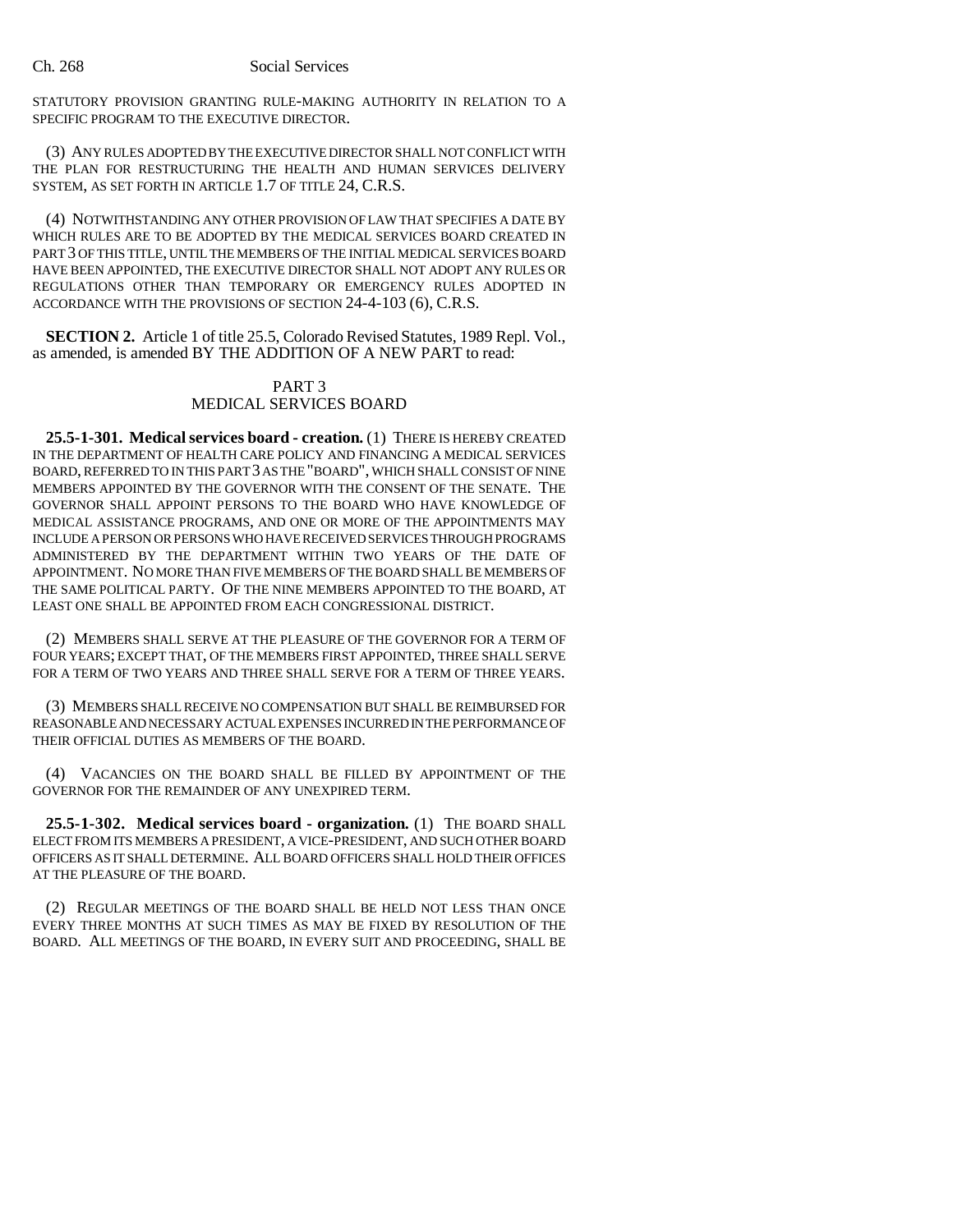STATUTORY PROVISION GRANTING RULE-MAKING AUTHORITY IN RELATION TO A SPECIFIC PROGRAM TO THE EXECUTIVE DIRECTOR.

(3) ANY RULES ADOPTED BY THE EXECUTIVE DIRECTOR SHALL NOT CONFLICT WITH THE PLAN FOR RESTRUCTURING THE HEALTH AND HUMAN SERVICES DELIVERY SYSTEM, AS SET FORTH IN ARTICLE 1.7 OF TITLE 24, C.R.S.

(4) NOTWITHSTANDING ANY OTHER PROVISION OF LAW THAT SPECIFIES A DATE BY WHICH RULES ARE TO BE ADOPTED BY THE MEDICAL SERVICES BOARD CREATED IN PART 3 OF THIS TITLE, UNTIL THE MEMBERS OF THE INITIAL MEDICAL SERVICES BOARD HAVE BEEN APPOINTED, THE EXECUTIVE DIRECTOR SHALL NOT ADOPT ANY RULES OR REGULATIONS OTHER THAN TEMPORARY OR EMERGENCY RULES ADOPTED IN ACCORDANCE WITH THE PROVISIONS OF SECTION 24-4-103 (6), C.R.S.

**SECTION 2.** Article 1 of title 25.5, Colorado Revised Statutes, 1989 Repl. Vol., as amended, is amended BY THE ADDITION OF A NEW PART to read:

## PART 3 MEDICAL SERVICES BOARD

**25.5-1-301. Medical services board - creation.** (1) THERE IS HEREBY CREATED IN THE DEPARTMENT OF HEALTH CARE POLICY AND FINANCING A MEDICAL SERVICES BOARD, REFERRED TO IN THIS PART 3 AS THE "BOARD", WHICH SHALL CONSIST OF NINE MEMBERS APPOINTED BY THE GOVERNOR WITH THE CONSENT OF THE SENATE. THE GOVERNOR SHALL APPOINT PERSONS TO THE BOARD WHO HAVE KNOWLEDGE OF MEDICAL ASSISTANCE PROGRAMS, AND ONE OR MORE OF THE APPOINTMENTS MAY INCLUDE A PERSON OR PERSONS WHO HAVE RECEIVED SERVICES THROUGH PROGRAMS ADMINISTERED BY THE DEPARTMENT WITHIN TWO YEARS OF THE DATE OF APPOINTMENT. NO MORE THAN FIVE MEMBERS OF THE BOARD SHALL BE MEMBERS OF THE SAME POLITICAL PARTY. OF THE NINE MEMBERS APPOINTED TO THE BOARD, AT LEAST ONE SHALL BE APPOINTED FROM EACH CONGRESSIONAL DISTRICT.

(2) MEMBERS SHALL SERVE AT THE PLEASURE OF THE GOVERNOR FOR A TERM OF FOUR YEARS; EXCEPT THAT, OF THE MEMBERS FIRST APPOINTED, THREE SHALL SERVE FOR A TERM OF TWO YEARS AND THREE SHALL SERVE FOR A TERM OF THREE YEARS.

(3) MEMBERS SHALL RECEIVE NO COMPENSATION BUT SHALL BE REIMBURSED FOR REASONABLE AND NECESSARY ACTUAL EXPENSES INCURRED IN THE PERFORMANCE OF THEIR OFFICIAL DUTIES AS MEMBERS OF THE BOARD.

(4) VACANCIES ON THE BOARD SHALL BE FILLED BY APPOINTMENT OF THE GOVERNOR FOR THE REMAINDER OF ANY UNEXPIRED TERM.

**25.5-1-302. Medical services board - organization.** (1) THE BOARD SHALL ELECT FROM ITS MEMBERS A PRESIDENT, A VICE-PRESIDENT, AND SUCH OTHER BOARD OFFICERS AS IT SHALL DETERMINE. ALL BOARD OFFICERS SHALL HOLD THEIR OFFICES AT THE PLEASURE OF THE BOARD.

(2) REGULAR MEETINGS OF THE BOARD SHALL BE HELD NOT LESS THAN ONCE EVERY THREE MONTHS AT SUCH TIMES AS MAY BE FIXED BY RESOLUTION OF THE BOARD. ALL MEETINGS OF THE BOARD, IN EVERY SUIT AND PROCEEDING, SHALL BE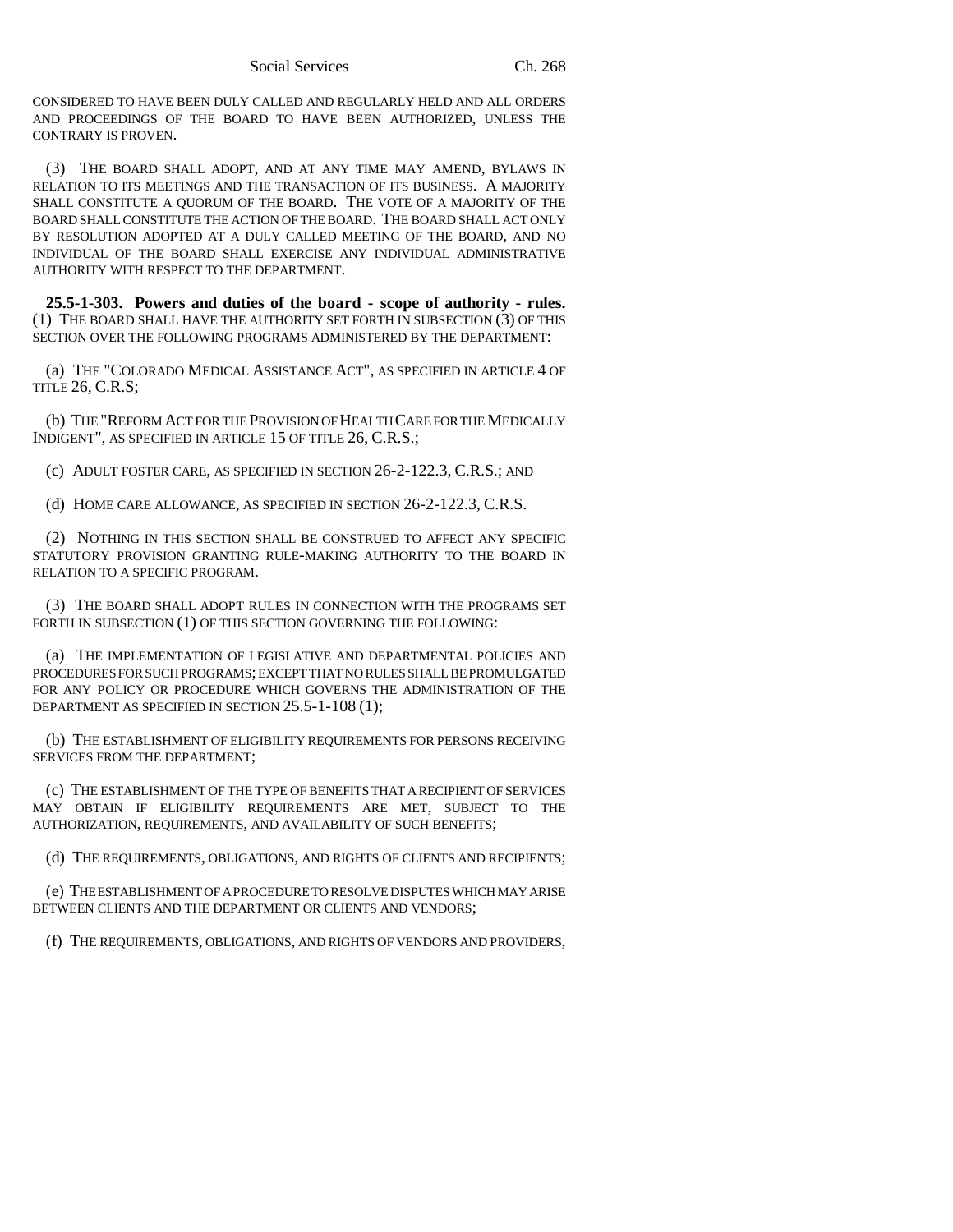CONSIDERED TO HAVE BEEN DULY CALLED AND REGULARLY HELD AND ALL ORDERS AND PROCEEDINGS OF THE BOARD TO HAVE BEEN AUTHORIZED, UNLESS THE CONTRARY IS PROVEN.

(3) THE BOARD SHALL ADOPT, AND AT ANY TIME MAY AMEND, BYLAWS IN RELATION TO ITS MEETINGS AND THE TRANSACTION OF ITS BUSINESS. A MAJORITY SHALL CONSTITUTE A QUORUM OF THE BOARD. THE VOTE OF A MAJORITY OF THE BOARD SHALL CONSTITUTE THE ACTION OF THE BOARD. THE BOARD SHALL ACT ONLY BY RESOLUTION ADOPTED AT A DULY CALLED MEETING OF THE BOARD, AND NO INDIVIDUAL OF THE BOARD SHALL EXERCISE ANY INDIVIDUAL ADMINISTRATIVE AUTHORITY WITH RESPECT TO THE DEPARTMENT.

**25.5-1-303. Powers and duties of the board - scope of authority - rules.** (1) THE BOARD SHALL HAVE THE AUTHORITY SET FORTH IN SUBSECTION (3) OF THIS SECTION OVER THE FOLLOWING PROGRAMS ADMINISTERED BY THE DEPARTMENT:

(a) THE "COLORADO MEDICAL ASSISTANCE ACT", AS SPECIFIED IN ARTICLE 4 OF TITLE 26, C.R.S;

(b) THE "REFORM ACT FOR THE PROVISION OF HEALTH CARE FOR THE MEDICALLY INDIGENT", AS SPECIFIED IN ARTICLE 15 OF TITLE 26, C.R.S.;

(c) ADULT FOSTER CARE, AS SPECIFIED IN SECTION 26-2-122.3, C.R.S.; AND

(d) HOME CARE ALLOWANCE, AS SPECIFIED IN SECTION 26-2-122.3, C.R.S.

(2) NOTHING IN THIS SECTION SHALL BE CONSTRUED TO AFFECT ANY SPECIFIC STATUTORY PROVISION GRANTING RULE-MAKING AUTHORITY TO THE BOARD IN RELATION TO A SPECIFIC PROGRAM.

(3) THE BOARD SHALL ADOPT RULES IN CONNECTION WITH THE PROGRAMS SET FORTH IN SUBSECTION (1) OF THIS SECTION GOVERNING THE FOLLOWING:

(a) THE IMPLEMENTATION OF LEGISLATIVE AND DEPARTMENTAL POLICIES AND PROCEDURES FOR SUCH PROGRAMS; EXCEPT THAT NO RULES SHALL BE PROMULGATED FOR ANY POLICY OR PROCEDURE WHICH GOVERNS THE ADMINISTRATION OF THE DEPARTMENT AS SPECIFIED IN SECTION 25.5-1-108 (1);

(b) THE ESTABLISHMENT OF ELIGIBILITY REQUIREMENTS FOR PERSONS RECEIVING SERVICES FROM THE DEPARTMENT;

(c) THE ESTABLISHMENT OF THE TYPE OF BENEFITS THAT A RECIPIENT OF SERVICES MAY OBTAIN IF ELIGIBILITY REQUIREMENTS ARE MET, SUBJECT TO THE AUTHORIZATION, REQUIREMENTS, AND AVAILABILITY OF SUCH BENEFITS;

(d) THE REQUIREMENTS, OBLIGATIONS, AND RIGHTS OF CLIENTS AND RECIPIENTS;

(e) THE ESTABLISHMENT OF A PROCEDURE TO RESOLVE DISPUTES WHICH MAY ARISE BETWEEN CLIENTS AND THE DEPARTMENT OR CLIENTS AND VENDORS;

(f) THE REQUIREMENTS, OBLIGATIONS, AND RIGHTS OF VENDORS AND PROVIDERS,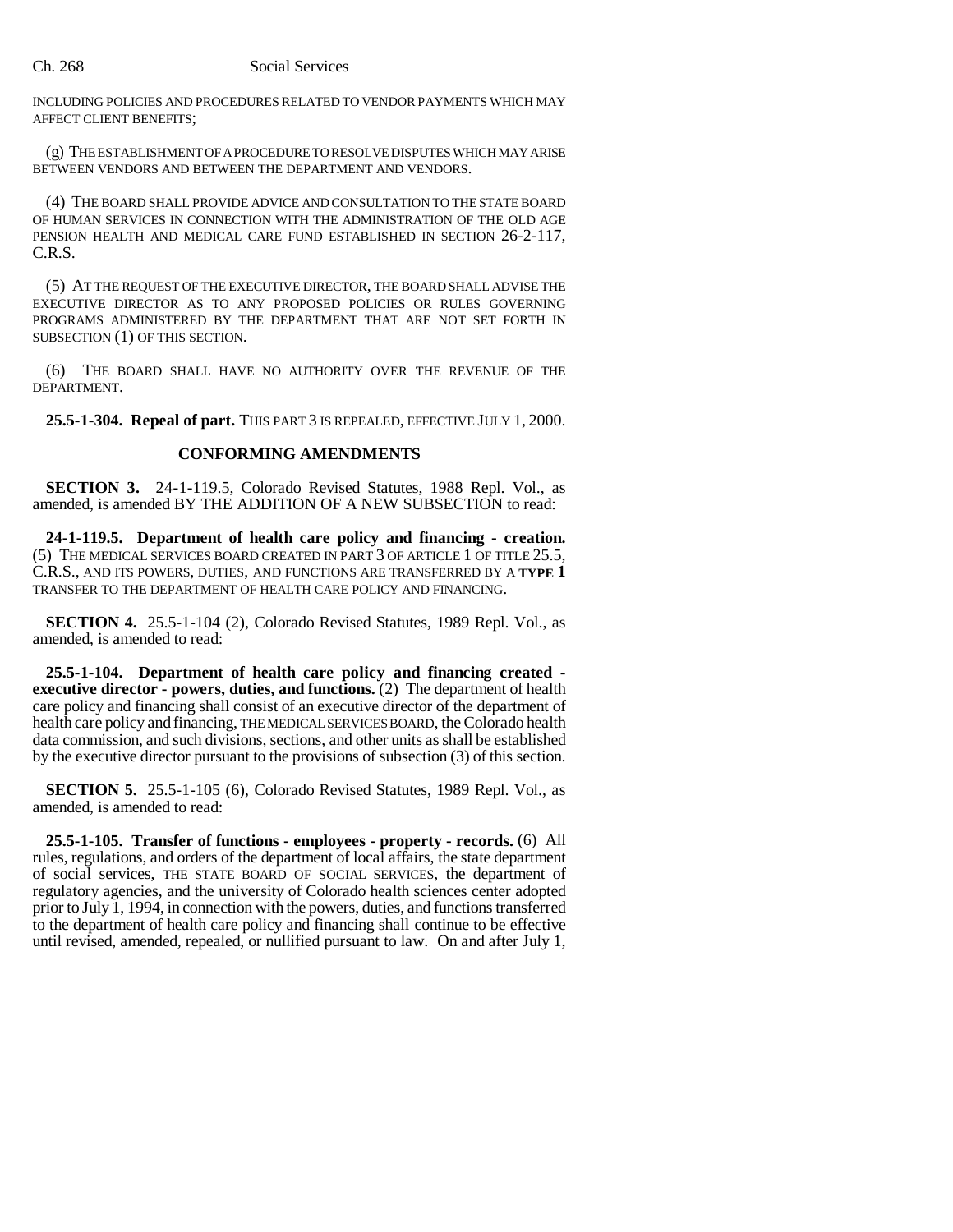INCLUDING POLICIES AND PROCEDURES RELATED TO VENDOR PAYMENTS WHICH MAY AFFECT CLIENT BENEFITS;

(g) THE ESTABLISHMENT OF A PROCEDURE TO RESOLVE DISPUTES WHICH MAY ARISE BETWEEN VENDORS AND BETWEEN THE DEPARTMENT AND VENDORS.

(4) THE BOARD SHALL PROVIDE ADVICE AND CONSULTATION TO THE STATE BOARD OF HUMAN SERVICES IN CONNECTION WITH THE ADMINISTRATION OF THE OLD AGE PENSION HEALTH AND MEDICAL CARE FUND ESTABLISHED IN SECTION 26-2-117, C.R.S.

(5) AT THE REQUEST OF THE EXECUTIVE DIRECTOR, THE BOARD SHALL ADVISE THE EXECUTIVE DIRECTOR AS TO ANY PROPOSED POLICIES OR RULES GOVERNING PROGRAMS ADMINISTERED BY THE DEPARTMENT THAT ARE NOT SET FORTH IN SUBSECTION (1) OF THIS SECTION.

(6) THE BOARD SHALL HAVE NO AUTHORITY OVER THE REVENUE OF THE DEPARTMENT.

**25.5-1-304. Repeal of part.** THIS PART 3 IS REPEALED, EFFECTIVE JULY 1, 2000.

#### **CONFORMING AMENDMENTS**

**SECTION 3.** 24-1-119.5, Colorado Revised Statutes, 1988 Repl. Vol., as amended, is amended BY THE ADDITION OF A NEW SUBSECTION to read:

**24-1-119.5. Department of health care policy and financing - creation.** (5) THE MEDICAL SERVICES BOARD CREATED IN PART 3 OF ARTICLE 1 OF TITLE 25.5, C.R.S., AND ITS POWERS, DUTIES, AND FUNCTIONS ARE TRANSFERRED BY A **TYPE 1** TRANSFER TO THE DEPARTMENT OF HEALTH CARE POLICY AND FINANCING.

**SECTION 4.** 25.5-1-104 (2), Colorado Revised Statutes, 1989 Repl. Vol., as amended, is amended to read:

**25.5-1-104. Department of health care policy and financing created executive director - powers, duties, and functions.** (2) The department of health care policy and financing shall consist of an executive director of the department of health care policy and financing, THE MEDICAL SERVICES BOARD, the Colorado health data commission, and such divisions, sections, and other units as shall be established by the executive director pursuant to the provisions of subsection (3) of this section.

**SECTION 5.** 25.5-1-105 (6), Colorado Revised Statutes, 1989 Repl. Vol., as amended, is amended to read:

**25.5-1-105. Transfer of functions - employees - property - records.** (6) All rules, regulations, and orders of the department of local affairs, the state department of social services, THE STATE BOARD OF SOCIAL SERVICES, the department of regulatory agencies, and the university of Colorado health sciences center adopted prior to July 1, 1994, in connection with the powers, duties, and functions transferred to the department of health care policy and financing shall continue to be effective until revised, amended, repealed, or nullified pursuant to law. On and after July 1,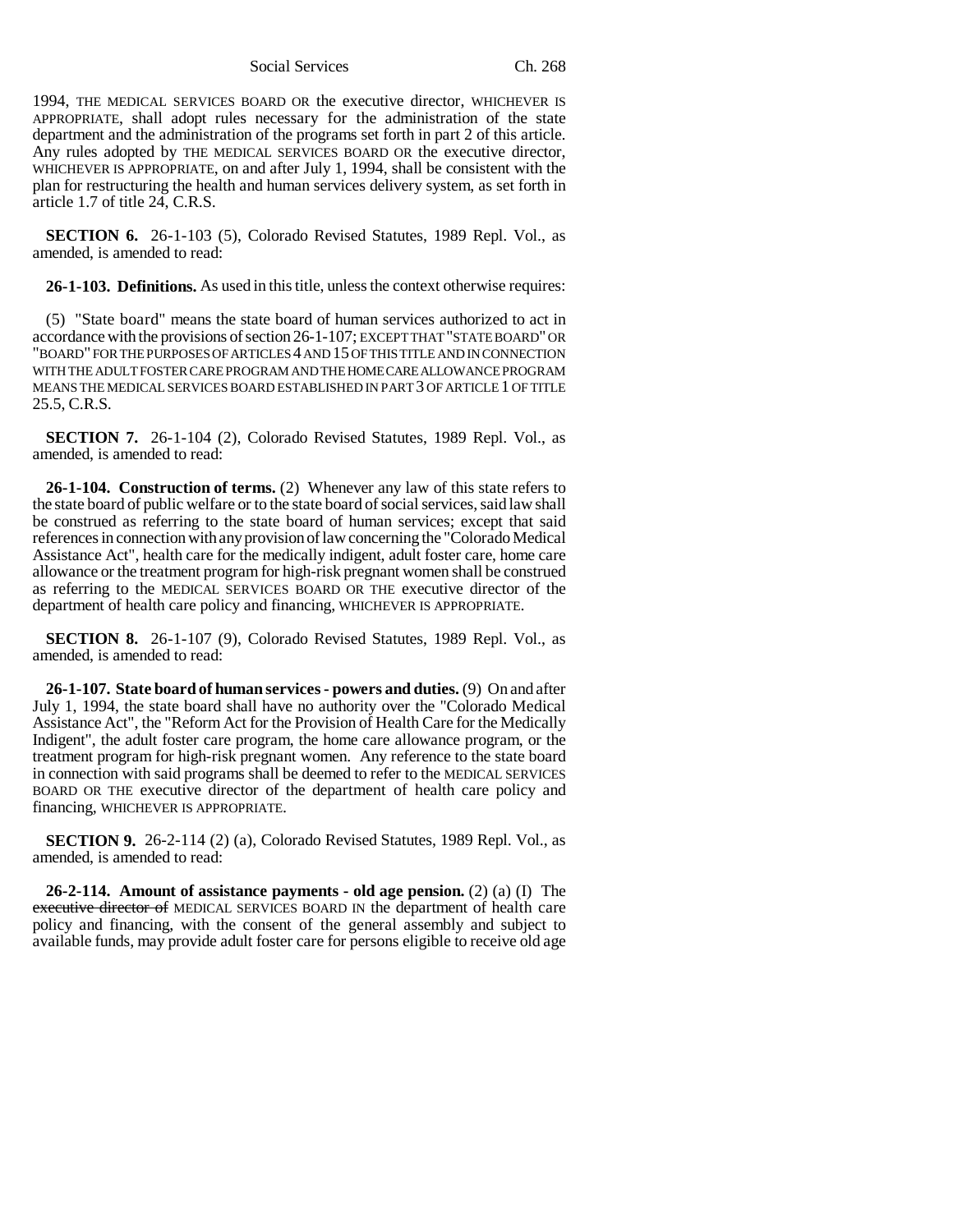1994, THE MEDICAL SERVICES BOARD OR the executive director, WHICHEVER IS APPROPRIATE, shall adopt rules necessary for the administration of the state department and the administration of the programs set forth in part 2 of this article. Any rules adopted by THE MEDICAL SERVICES BOARD OR the executive director, WHICHEVER IS APPROPRIATE, on and after July 1, 1994, shall be consistent with the plan for restructuring the health and human services delivery system, as set forth in article 1.7 of title 24, C.R.S.

**SECTION 6.** 26-1-103 (5), Colorado Revised Statutes, 1989 Repl. Vol., as amended, is amended to read:

**26-1-103. Definitions.** As used in this title, unless the context otherwise requires:

(5) "State board" means the state board of human services authorized to act in accordance with the provisions of section 26-1-107; EXCEPT THAT "STATE BOARD" OR "BOARD" FOR THE PURPOSES OF ARTICLES 4 AND 15 OF THIS TITLE AND IN CONNECTION WITH THE ADULT FOSTER CARE PROGRAM AND THE HOME CARE ALLOWANCE PROGRAM MEANS THE MEDICAL SERVICES BOARD ESTABLISHED IN PART 3 OF ARTICLE 1 OF TITLE 25.5, C.R.S.

**SECTION 7.** 26-1-104 (2), Colorado Revised Statutes, 1989 Repl. Vol., as amended, is amended to read:

**26-1-104. Construction of terms.** (2) Whenever any law of this state refers to the state board of public welfare or to the state board of social services, said law shall be construed as referring to the state board of human services; except that said references in connection with any provision of law concerning the "Colorado Medical Assistance Act", health care for the medically indigent, adult foster care, home care allowance or the treatment program for high-risk pregnant women shall be construed as referring to the MEDICAL SERVICES BOARD OR THE executive director of the department of health care policy and financing, WHICHEVER IS APPROPRIATE.

**SECTION 8.** 26-1-107 (9), Colorado Revised Statutes, 1989 Repl. Vol., as amended, is amended to read:

**26-1-107. State board of human services - powers and duties.** (9) On and after July 1, 1994, the state board shall have no authority over the "Colorado Medical Assistance Act", the "Reform Act for the Provision of Health Care for the Medically Indigent", the adult foster care program, the home care allowance program, or the treatment program for high-risk pregnant women. Any reference to the state board in connection with said programs shall be deemed to refer to the MEDICAL SERVICES BOARD OR THE executive director of the department of health care policy and financing, WHICHEVER IS APPROPRIATE.

**SECTION 9.** 26-2-114 (2) (a), Colorado Revised Statutes, 1989 Repl. Vol., as amended, is amended to read:

**26-2-114. Amount of assistance payments - old age pension.** (2) (a) (I) The executive director of MEDICAL SERVICES BOARD IN the department of health care policy and financing, with the consent of the general assembly and subject to available funds, may provide adult foster care for persons eligible to receive old age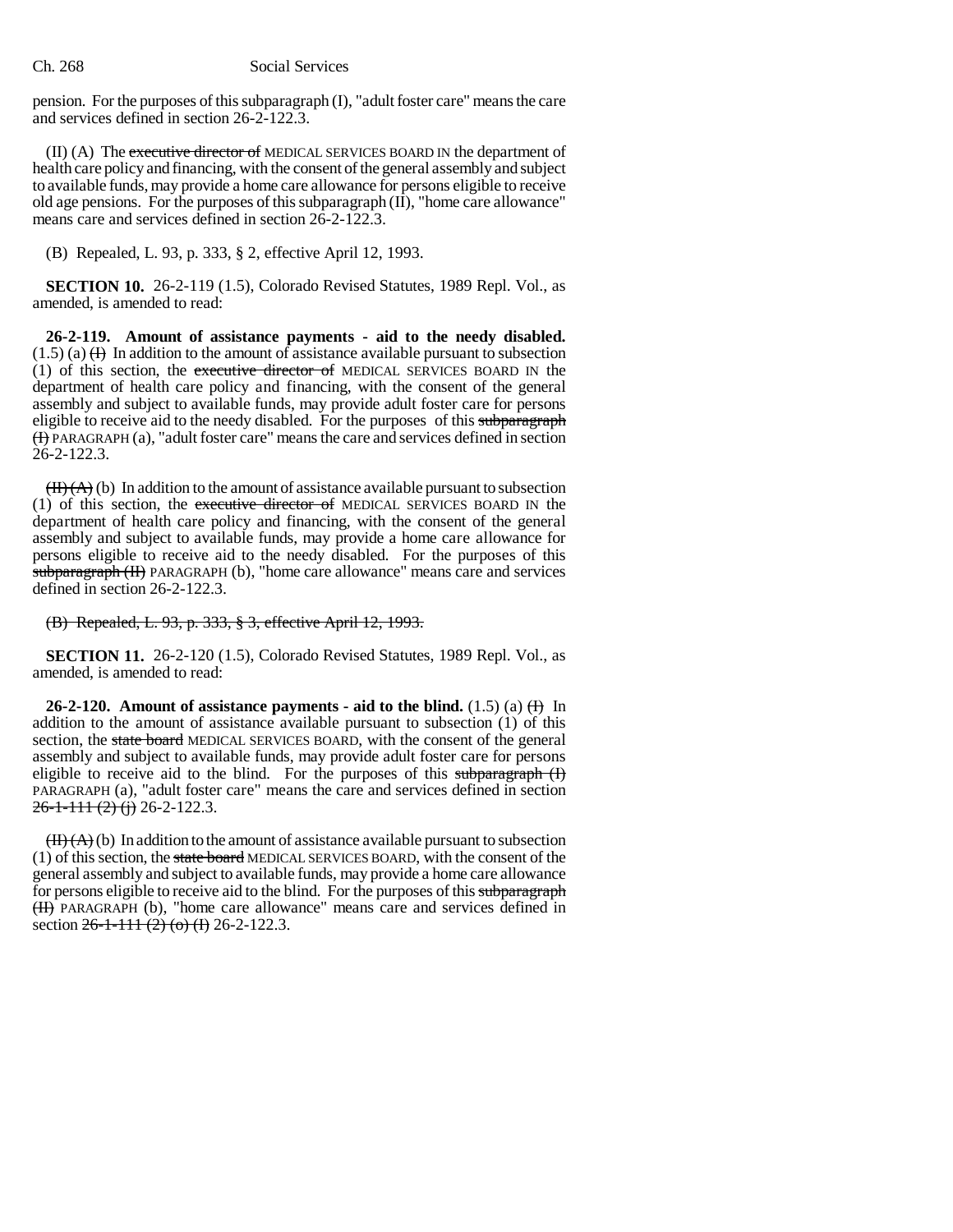pension. For the purposes of this subparagraph (I), "adult foster care" means the care and services defined in section 26-2-122.3.

(II) (A) The executive director of MEDICAL SERVICES BOARD IN the department of health care policy and financing, with the consent of the general assembly and subject to available funds, may provide a home care allowance for persons eligible to receive old age pensions. For the purposes of this subparagraph (II), "home care allowance" means care and services defined in section  $26$ -2-122.3.

(B) Repealed, L. 93, p. 333, § 2, effective April 12, 1993.

**SECTION 10.** 26-2-119 (1.5), Colorado Revised Statutes, 1989 Repl. Vol., as amended, is amended to read:

**26-2-119. Amount of assistance payments - aid to the needy disabled.**  $(1.5)$  (a)  $(H)$  In addition to the amount of assistance available pursuant to subsection (1) of this section, the executive director of MEDICAL SERVICES BOARD IN the department of health care policy and financing, with the consent of the general assembly and subject to available funds, may provide adult foster care for persons eligible to receive aid to the needy disabled. For the purposes of this subparagraph (I) PARAGRAPH (a), "adult foster care" means the care and services defined in section 26-2-122.3.

 $(H(A))$  In addition to the amount of assistance available pursuant to subsection (1) of this section, the executive director of MEDICAL SERVICES BOARD IN the department of health care policy and financing, with the consent of the general assembly and subject to available funds, may provide a home care allowance for persons eligible to receive aid to the needy disabled. For the purposes of this subparagraph (II) PARAGRAPH (b), "home care allowance" means care and services defined in section 26-2-122.3.

(B) Repealed, L. 93, p. 333, § 3, effective April 12, 1993.

**SECTION 11.** 26-2-120 (1.5), Colorado Revised Statutes, 1989 Repl. Vol., as amended, is amended to read:

**26-2-120.** Amount of assistance payments - aid to the blind.  $(1.5)$  (a)  $\bigoplus$  In addition to the amount of assistance available pursuant to subsection (1) of this section, the state board MEDICAL SERVICES BOARD, with the consent of the general assembly and subject to available funds, may provide adult foster care for persons eligible to receive aid to the blind. For the purposes of this subparagraph (I) PARAGRAPH (a), "adult foster care" means the care and services defined in section  $26-1-111(2)$  (j) 26-2-122.3.

 $(H(A))$  In addition to the amount of assistance available pursuant to subsection (1) of this section, the state board MEDICAL SERVICES BOARD, with the consent of the general assembly and subject to available funds, may provide a home care allowance for persons eligible to receive aid to the blind. For the purposes of this subparagraph (II) PARAGRAPH (b), "home care allowance" means care and services defined in section  $26-1-111$  (2) (o) (I) 26-2-122.3.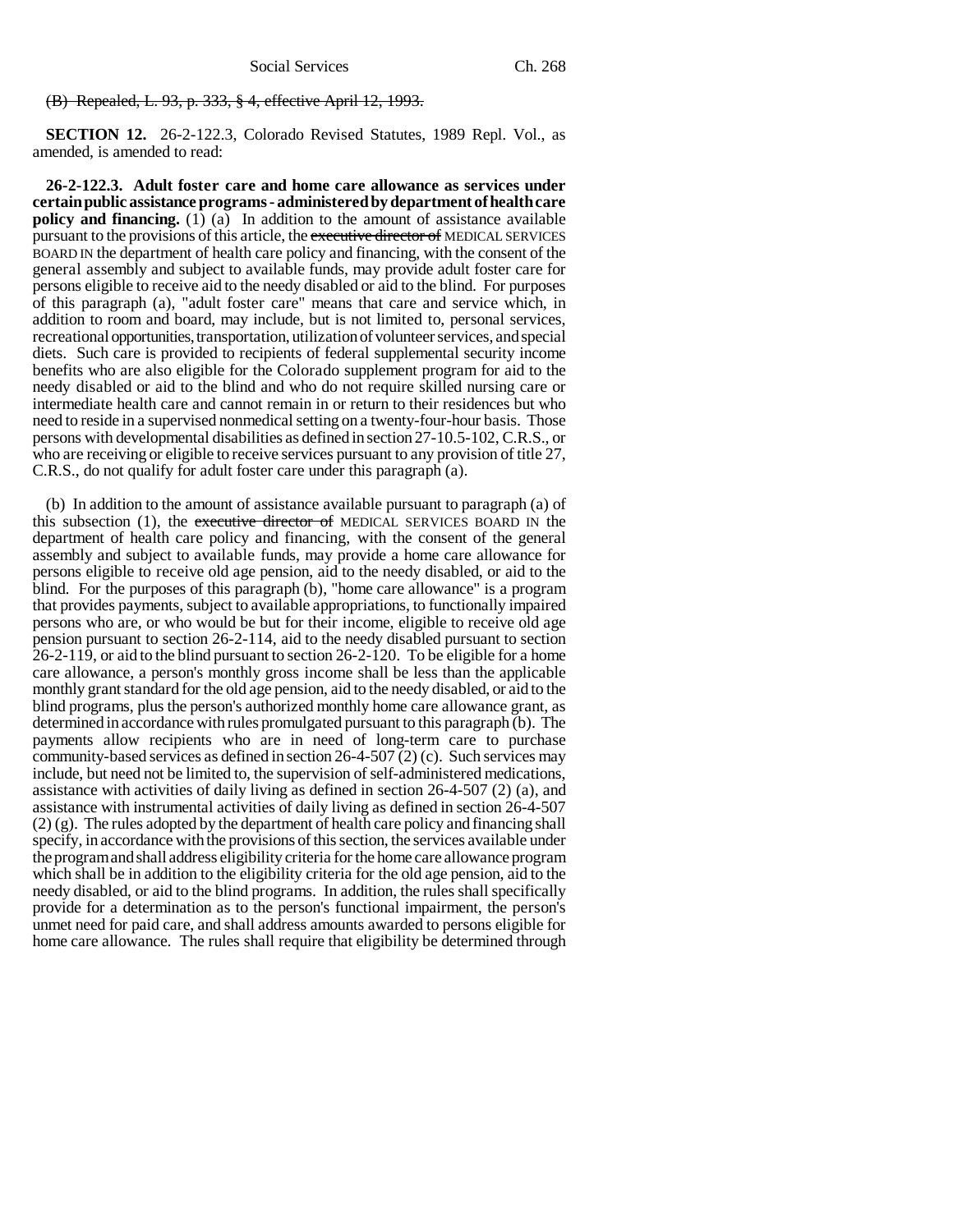#### (B) Repealed, L. 93, p. 333, § 4, effective April 12, 1993.

**SECTION 12.** 26-2-122.3, Colorado Revised Statutes, 1989 Repl. Vol., as amended, is amended to read:

**26-2-122.3. Adult foster care and home care allowance as services under certain public assistance programs - administered by department of health care policy and financing.** (1) (a) In addition to the amount of assistance available pursuant to the provisions of this article, the executive director of MEDICAL SERVICES BOARD IN the department of health care policy and financing, with the consent of the general assembly and subject to available funds, may provide adult foster care for persons eligible to receive aid to the needy disabled or aid to the blind. For purposes of this paragraph (a), "adult foster care" means that care and service which, in addition to room and board, may include, but is not limited to, personal services, recreational opportunities, transportation, utilization of volunteer services, and special diets. Such care is provided to recipients of federal supplemental security income benefits who are also eligible for the Colorado supplement program for aid to the needy disabled or aid to the blind and who do not require skilled nursing care or intermediate health care and cannot remain in or return to their residences but who need to reside in a supervised nonmedical setting on a twenty-four-hour basis. Those persons with developmental disabilities as defined in section 27-10.5-102, C.R.S., or who are receiving or eligible to receive services pursuant to any provision of title 27, C.R.S., do not qualify for adult foster care under this paragraph (a).

(b) In addition to the amount of assistance available pursuant to paragraph (a) of this subsection (1), the executive director of MEDICAL SERVICES BOARD IN the department of health care policy and financing, with the consent of the general assembly and subject to available funds, may provide a home care allowance for persons eligible to receive old age pension, aid to the needy disabled, or aid to the blind. For the purposes of this paragraph (b), "home care allowance" is a program that provides payments, subject to available appropriations, to functionally impaired persons who are, or who would be but for their income, eligible to receive old age pension pursuant to section 26-2-114, aid to the needy disabled pursuant to section 26-2-119, or aid to the blind pursuant to section 26-2-120. To be eligible for a home care allowance, a person's monthly gross income shall be less than the applicable monthly grant standard for the old age pension, aid to the needy disabled, or aid to the blind programs, plus the person's authorized monthly home care allowance grant, as determined in accordance with rules promulgated pursuant to this paragraph (b). The payments allow recipients who are in need of long-term care to purchase community-based services as defined in section 26-4-507 (2) (c). Such services may include, but need not be limited to, the supervision of self-administered medications, assistance with activities of daily living as defined in section 26-4-507 (2) (a), and assistance with instrumental activities of daily living as defined in section 26-4-507 (2) (g). The rules adopted by the department of health care policy and financing shall specify, in accordance with the provisions of this section, the services available under the program and shall address eligibility criteria for the home care allowance program which shall be in addition to the eligibility criteria for the old age pension, aid to the needy disabled, or aid to the blind programs. In addition, the rules shall specifically provide for a determination as to the person's functional impairment, the person's unmet need for paid care, and shall address amounts awarded to persons eligible for home care allowance. The rules shall require that eligibility be determined through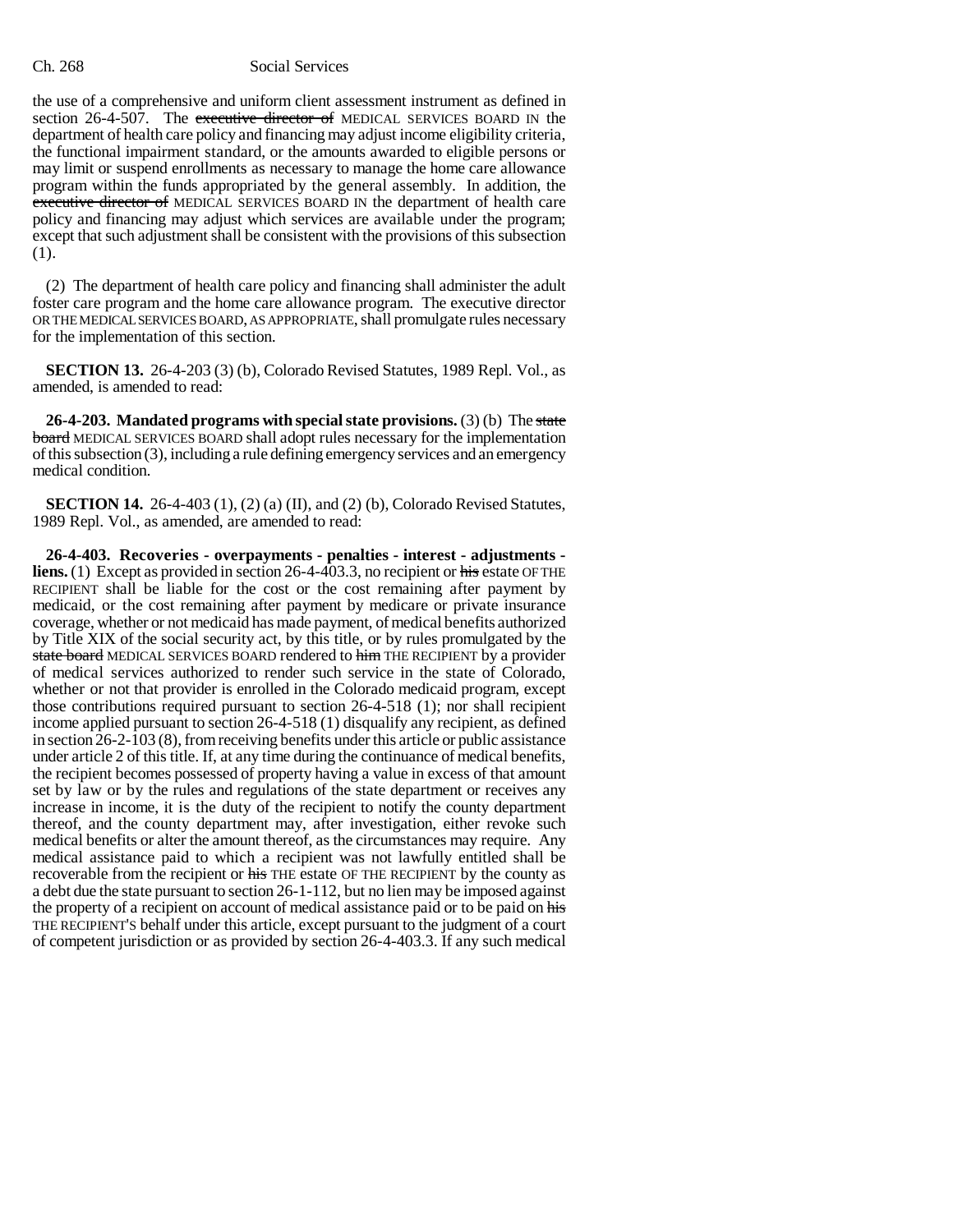the use of a comprehensive and uniform client assessment instrument as defined in section 26-4-507. The executive director of MEDICAL SERVICES BOARD IN the department of health care policy and financing may adjust income eligibility criteria, the functional impairment standard, or the amounts awarded to eligible persons or may limit or suspend enrollments as necessary to manage the home care allowance program within the funds appropriated by the general assembly. In addition, the executive director of MEDICAL SERVICES BOARD IN the department of health care policy and financing may adjust which services are available under the program; except that such adjustment shall be consistent with the provisions of this subsection (1).

(2) The department of health care policy and financing shall administer the adult foster care program and the home care allowance program. The executive director OR THE MEDICAL SERVICES BOARD, AS APPROPRIATE, shall promulgate rules necessary for the implementation of this section.

**SECTION 13.** 26-4-203 (3) (b), Colorado Revised Statutes, 1989 Repl. Vol., as amended, is amended to read:

**26-4-203. Mandated programs with special state provisions.** (3) (b) The state board MEDICAL SERVICES BOARD shall adopt rules necessary for the implementation of this subsection (3), including a rule defining emergency services and an emergency medical condition.

**SECTION 14.** 26-4-403 (1), (2) (a) (II), and (2) (b), Colorado Revised Statutes, 1989 Repl. Vol., as amended, are amended to read:

**26-4-403. Recoveries - overpayments - penalties - interest - adjustments liens.** (1) Except as provided in section 26-4-403.3, no recipient or his estate OFTHE RECIPIENT shall be liable for the cost or the cost remaining after payment by medicaid, or the cost remaining after payment by medicare or private insurance coverage, whether or not medicaid has made payment, of medical benefits authorized by Title XIX of the social security act, by this title, or by rules promulgated by the state board MEDICAL SERVICES BOARD rendered to him THE RECIPIENT by a provider of medical services authorized to render such service in the state of Colorado, whether or not that provider is enrolled in the Colorado medicaid program, except those contributions required pursuant to section 26-4-518 (1); nor shall recipient income applied pursuant to section 26-4-518 (1) disqualify any recipient, as defined in section 26-2-103 (8), from receiving benefits under this article or public assistance under article 2 of this title. If, at any time during the continuance of medical benefits, the recipient becomes possessed of property having a value in excess of that amount set by law or by the rules and regulations of the state department or receives any increase in income, it is the duty of the recipient to notify the county department thereof, and the county department may, after investigation, either revoke such medical benefits or alter the amount thereof, as the circumstances may require. Any medical assistance paid to which a recipient was not lawfully entitled shall be recoverable from the recipient or his THE estate OF THE RECIPIENT by the county as a debt due the state pursuant to section 26-1-112, but no lien may be imposed against the property of a recipient on account of medical assistance paid or to be paid on his THE RECIPIENT'S behalf under this article, except pursuant to the judgment of a court of competent jurisdiction or as provided by section 26-4-403.3. If any such medical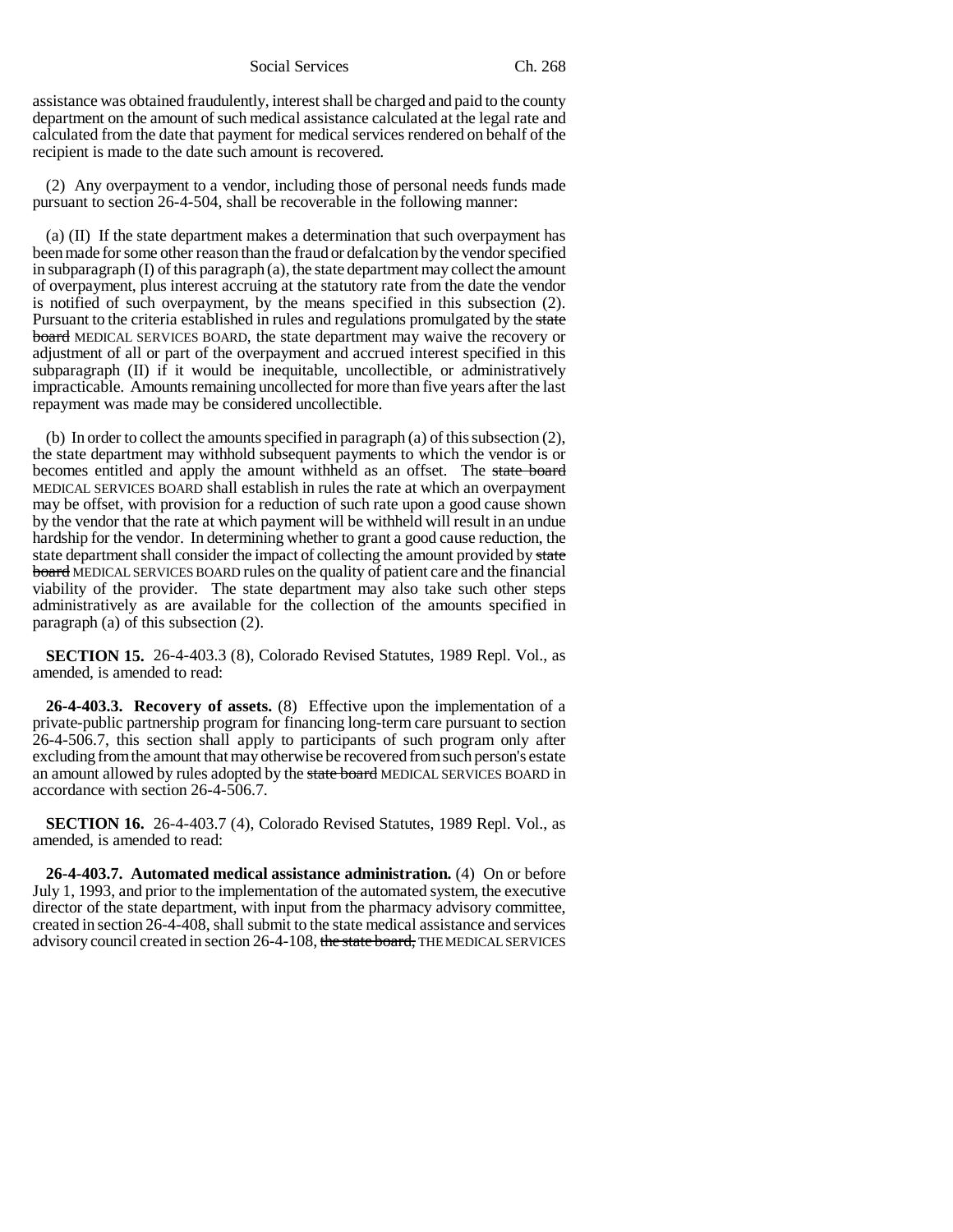assistance was obtained fraudulently, interest shall be charged and paid to the county department on the amount of such medical assistance calculated at the legal rate and calculated from the date that payment for medical services rendered on behalf of the recipient is made to the date such amount is recovered.

(2) Any overpayment to a vendor, including those of personal needs funds made pursuant to section 26-4-504, shall be recoverable in the following manner:

(a) (II) If the state department makes a determination that such overpayment has been made for some other reason than the fraud or defalcation by the vendor specified in subparagraph  $(I)$  of this paragraph  $(a)$ , the state department may collect the amount of overpayment, plus interest accruing at the statutory rate from the date the vendor is notified of such overpayment, by the means specified in this subsection (2). Pursuant to the criteria established in rules and regulations promulgated by the state **board** MEDICAL SERVICES BOARD, the state department may waive the recovery or adjustment of all or part of the overpayment and accrued interest specified in this subparagraph (II) if it would be inequitable, uncollectible, or administratively impracticable. Amounts remaining uncollected for more than five years after the last repayment was made may be considered uncollectible.

(b) In order to collect the amounts specified in paragraph (a) of this subsection (2), the state department may withhold subsequent payments to which the vendor is or becomes entitled and apply the amount withheld as an offset. The state board MEDICAL SERVICES BOARD shall establish in rules the rate at which an overpayment may be offset, with provision for a reduction of such rate upon a good cause shown by the vendor that the rate at which payment will be withheld will result in an undue hardship for the vendor. In determining whether to grant a good cause reduction, the state department shall consider the impact of collecting the amount provided by state board MEDICAL SERVICES BOARD rules on the quality of patient care and the financial viability of the provider. The state department may also take such other steps administratively as are available for the collection of the amounts specified in paragraph (a) of this subsection (2).

**SECTION 15.** 26-4-403.3 (8), Colorado Revised Statutes, 1989 Repl. Vol., as amended, is amended to read:

**26-4-403.3. Recovery of assets.** (8) Effective upon the implementation of a private-public partnership program for financing long-term care pursuant to section 26-4-506.7, this section shall apply to participants of such program only after excluding from the amount that may otherwise be recovered from such person's estate an amount allowed by rules adopted by the state board MEDICAL SERVICES BOARD in accordance with section 26-4-506.7.

**SECTION 16.** 26-4-403.7 (4), Colorado Revised Statutes, 1989 Repl. Vol., as amended, is amended to read:

**26-4-403.7. Automated medical assistance administration.** (4) On or before July 1, 1993, and prior to the implementation of the automated system, the executive director of the state department, with input from the pharmacy advisory committee, created in section 26-4-408, shall submit to the state medical assistance and services advisory council created in section 26-4-108, the state board, THE MEDICAL SERVICES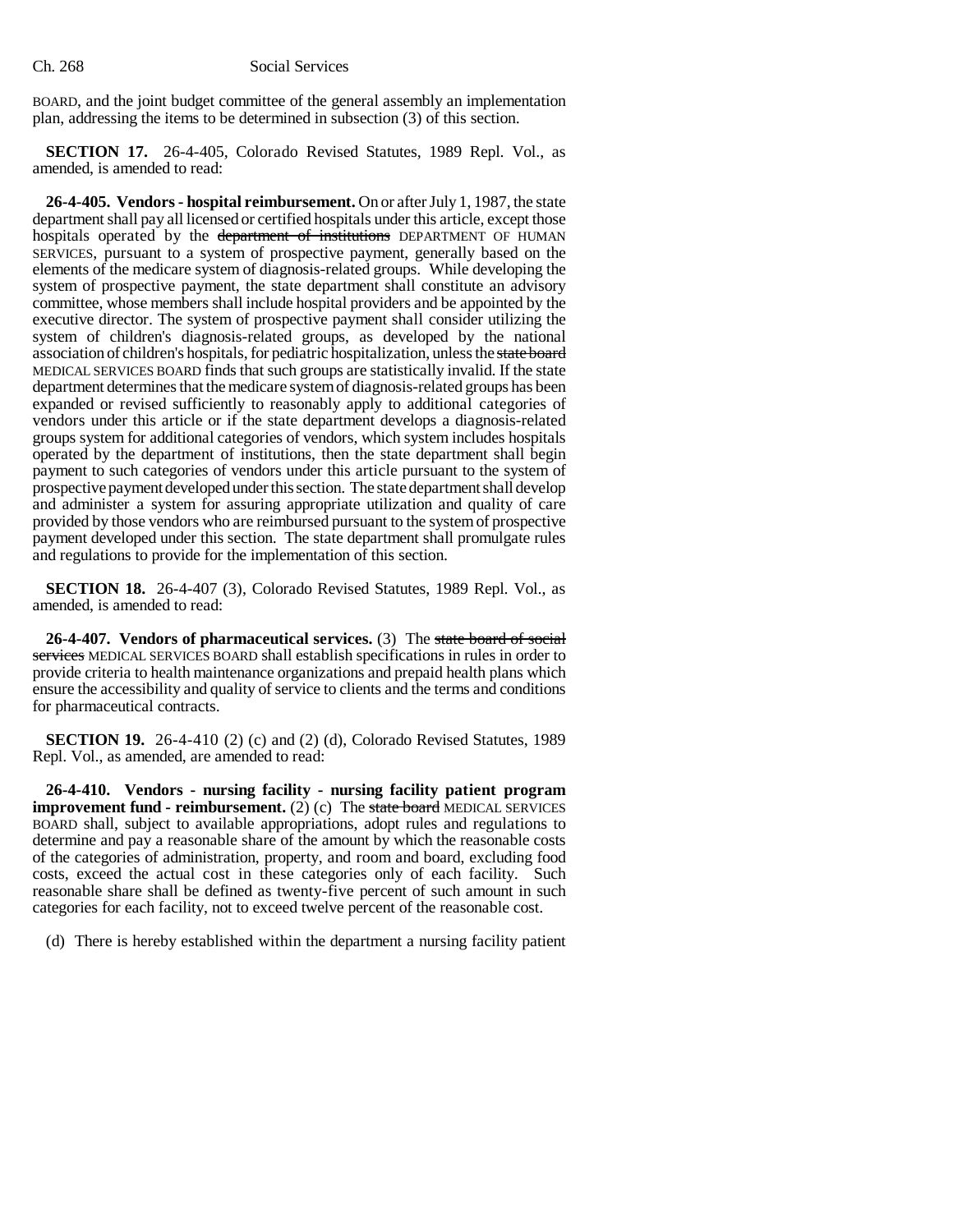BOARD, and the joint budget committee of the general assembly an implementation plan, addressing the items to be determined in subsection (3) of this section.

**SECTION 17.** 26-4-405, Colorado Revised Statutes, 1989 Repl. Vol., as amended, is amended to read:

**26-4-405. Vendors - hospital reimbursement.** On or after July 1, 1987, the state department shall pay all licensed or certified hospitals under this article, except those hospitals operated by the department of institutions DEPARTMENT OF HUMAN SERVICES, pursuant to a system of prospective payment, generally based on the elements of the medicare system of diagnosis-related groups. While developing the system of prospective payment, the state department shall constitute an advisory committee, whose members shall include hospital providers and be appointed by the executive director. The system of prospective payment shall consider utilizing the system of children's diagnosis-related groups, as developed by the national association of children's hospitals, for pediatric hospitalization, unless the state board MEDICAL SERVICES BOARD finds that such groups are statistically invalid. If the state department determines that the medicare system of diagnosis-related groups has been expanded or revised sufficiently to reasonably apply to additional categories of vendors under this article or if the state department develops a diagnosis-related groups system for additional categories of vendors, which system includes hospitals operated by the department of institutions, then the state department shall begin payment to such categories of vendors under this article pursuant to the system of prospective payment developed under this section. The state department shall develop and administer a system for assuring appropriate utilization and quality of care provided by those vendors who are reimbursed pursuant to the system of prospective payment developed under this section. The state department shall promulgate rules and regulations to provide for the implementation of this section.

**SECTION 18.** 26-4-407 (3), Colorado Revised Statutes, 1989 Repl. Vol., as amended, is amended to read:

**26-4-407. Vendors of pharmaceutical services.** (3) The state board of social services MEDICAL SERVICES BOARD shall establish specifications in rules in order to provide criteria to health maintenance organizations and prepaid health plans which ensure the accessibility and quality of service to clients and the terms and conditions for pharmaceutical contracts.

**SECTION 19.** 26-4-410 (2) (c) and (2) (d), Colorado Revised Statutes, 1989 Repl. Vol., as amended, are amended to read:

**26-4-410. Vendors - nursing facility - nursing facility patient program improvement fund - reimbursement.** (2) (c) The state board MEDICAL SERVICES BOARD shall, subject to available appropriations, adopt rules and regulations to determine and pay a reasonable share of the amount by which the reasonable costs of the categories of administration, property, and room and board, excluding food costs, exceed the actual cost in these categories only of each facility. Such reasonable share shall be defined as twenty-five percent of such amount in such categories for each facility, not to exceed twelve percent of the reasonable cost.

(d) There is hereby established within the department a nursing facility patient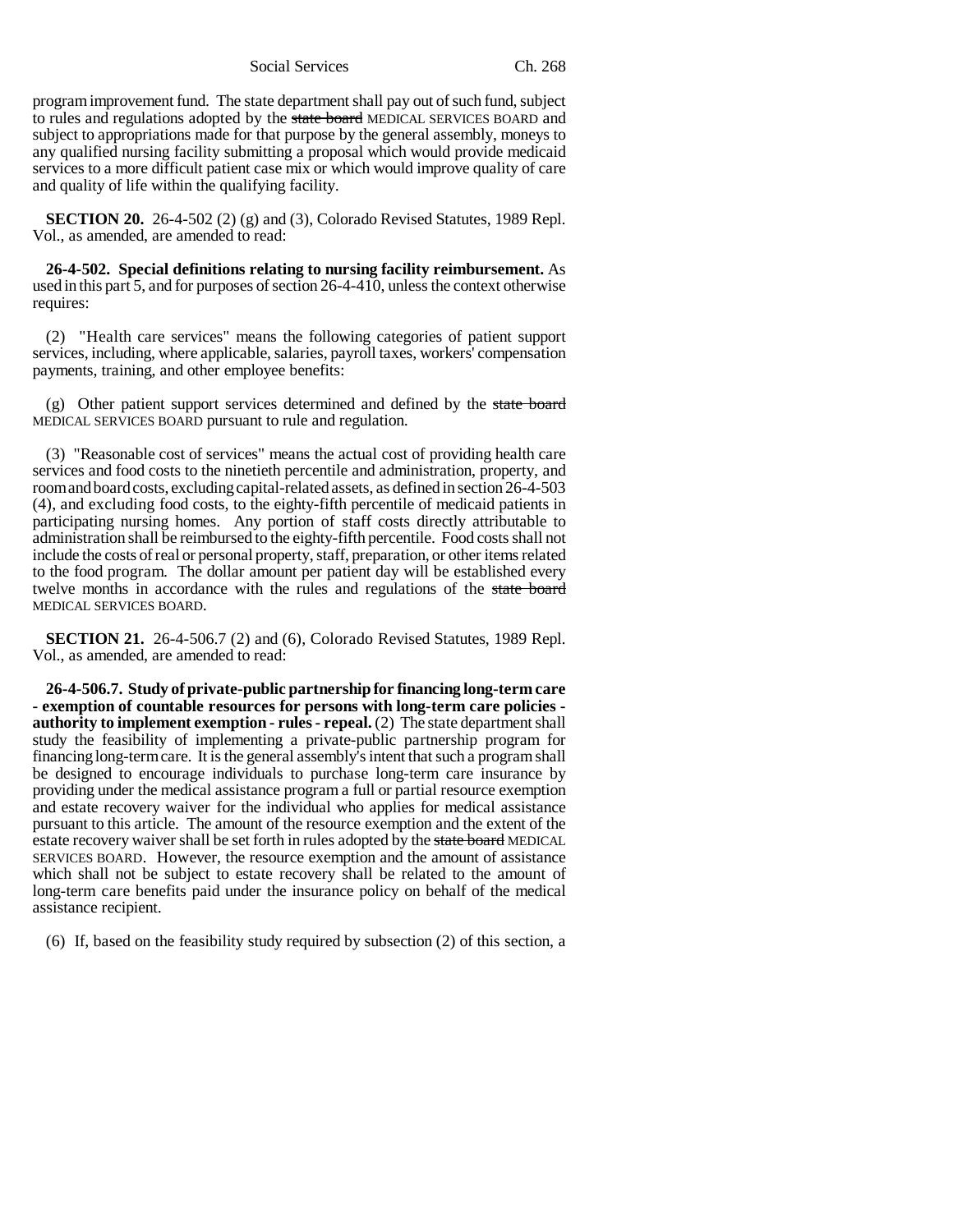program improvement fund. The state department shall pay out of such fund, subject to rules and regulations adopted by the state board MEDICAL SERVICES BOARD and subject to appropriations made for that purpose by the general assembly, moneys to any qualified nursing facility submitting a proposal which would provide medicaid services to a more difficult patient case mix or which would improve quality of care and quality of life within the qualifying facility.

**SECTION 20.** 26-4-502 (2) (g) and (3), Colorado Revised Statutes, 1989 Repl. Vol., as amended, are amended to read:

**26-4-502. Special definitions relating to nursing facility reimbursement.** As used in this part 5, and for purposes of section 26-4-410, unless the context otherwise requires:

(2) "Health care services" means the following categories of patient support services, including, where applicable, salaries, payroll taxes, workers' compensation payments, training, and other employee benefits:

 $(g)$  Other patient support services determined and defined by the state board MEDICAL SERVICES BOARD pursuant to rule and regulation.

(3) "Reasonable cost of services" means the actual cost of providing health care services and food costs to the ninetieth percentile and administration, property, and room and board costs, excluding capital-related assets, as defined in section 26-4-503 (4), and excluding food costs, to the eighty-fifth percentile of medicaid patients in participating nursing homes. Any portion of staff costs directly attributable to administration shall be reimbursed to the eighty-fifth percentile. Food costs shall not include the costs of real or personal property, staff, preparation, or other items related to the food program. The dollar amount per patient day will be established every twelve months in accordance with the rules and regulations of the state board MEDICAL SERVICES BOARD.

**SECTION 21.** 26-4-506.7 (2) and (6), Colorado Revised Statutes, 1989 Repl. Vol., as amended, are amended to read:

**26-4-506.7. Study of private-public partnership for financing long-term care - exemption of countable resources for persons with long-term care policies authority to implement exemption - rules - repeal.** (2) The state department shall study the feasibility of implementing a private-public partnership program for financing long-term care. It is the general assembly's intent that such a program shall be designed to encourage individuals to purchase long-term care insurance by providing under the medical assistance program a full or partial resource exemption and estate recovery waiver for the individual who applies for medical assistance pursuant to this article. The amount of the resource exemption and the extent of the estate recovery waiver shall be set forth in rules adopted by the state board MEDICAL SERVICES BOARD. However, the resource exemption and the amount of assistance which shall not be subject to estate recovery shall be related to the amount of long-term care benefits paid under the insurance policy on behalf of the medical assistance recipient.

(6) If, based on the feasibility study required by subsection (2) of this section, a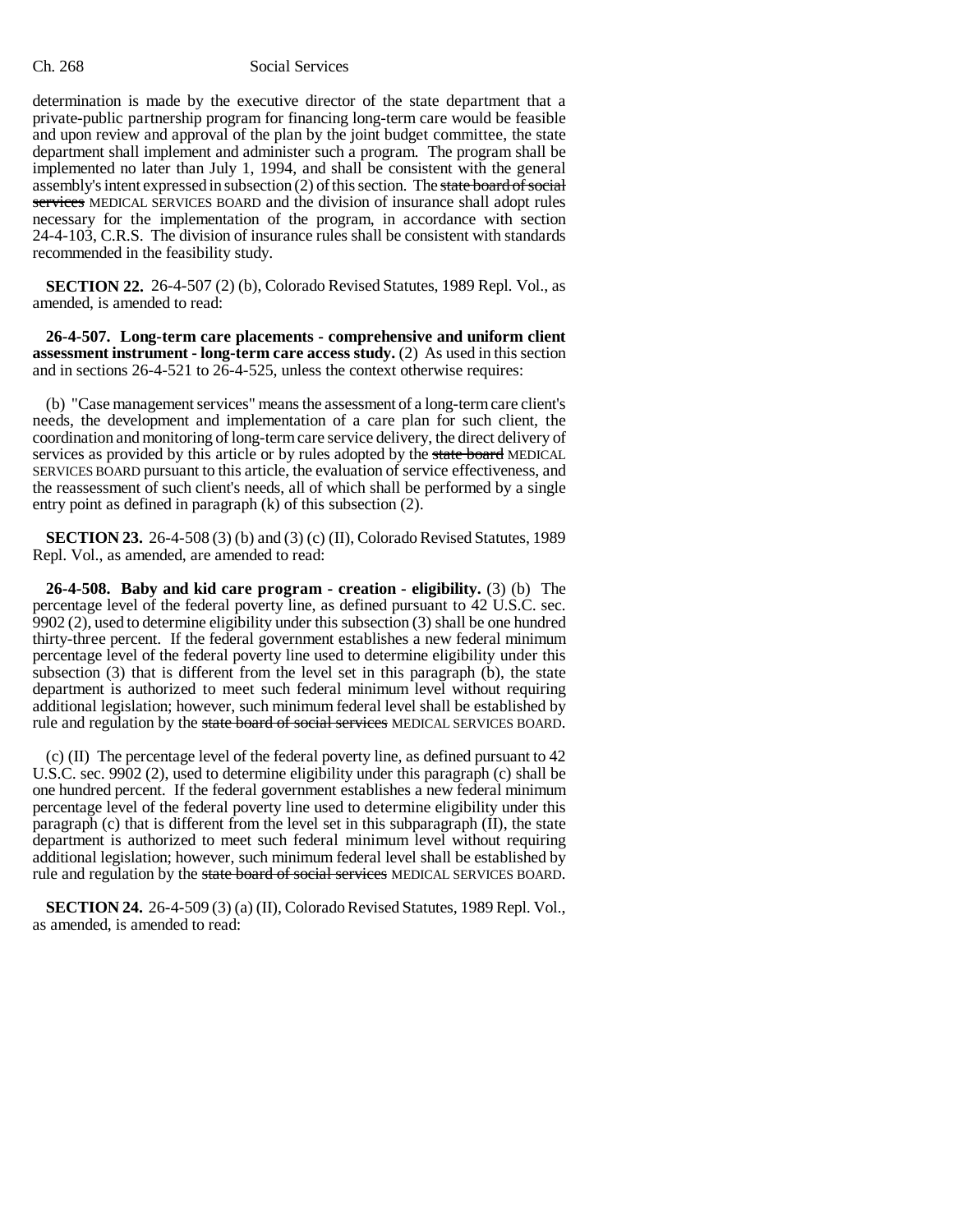determination is made by the executive director of the state department that a private-public partnership program for financing long-term care would be feasible and upon review and approval of the plan by the joint budget committee, the state department shall implement and administer such a program. The program shall be implemented no later than July 1, 1994, and shall be consistent with the general assembly's intent expressed in subsection (2) of this section. The state board of social services MEDICAL SERVICES BOARD and the division of insurance shall adopt rules necessary for the implementation of the program, in accordance with section 24-4-103, C.R.S. The division of insurance rules shall be consistent with standards recommended in the feasibility study.

**SECTION 22.** 26-4-507 (2) (b), Colorado Revised Statutes, 1989 Repl. Vol., as amended, is amended to read:

**26-4-507. Long-term care placements - comprehensive and uniform client assessment instrument - long-term care access study.** (2) As used in this section and in sections 26-4-521 to 26-4-525, unless the context otherwise requires:

(b) "Case management services" means the assessment of a long-term care client's needs, the development and implementation of a care plan for such client, the coordination and monitoring of long-term care service delivery, the direct delivery of services as provided by this article or by rules adopted by the state board MEDICAL SERVICES BOARD pursuant to this article, the evaluation of service effectiveness, and the reassessment of such client's needs, all of which shall be performed by a single entry point as defined in paragraph (k) of this subsection (2).

**SECTION 23.** 26-4-508 (3) (b) and (3) (c) (II), Colorado Revised Statutes, 1989 Repl. Vol., as amended, are amended to read:

**26-4-508. Baby and kid care program - creation - eligibility.** (3) (b) The percentage level of the federal poverty line, as defined pursuant to 42 U.S.C. sec. 9902 (2), used to determine eligibility under this subsection (3) shall be one hundred thirty-three percent. If the federal government establishes a new federal minimum percentage level of the federal poverty line used to determine eligibility under this subsection (3) that is different from the level set in this paragraph (b), the state department is authorized to meet such federal minimum level without requiring additional legislation; however, such minimum federal level shall be established by rule and regulation by the state board of social services MEDICAL SERVICES BOARD.

(c) (II) The percentage level of the federal poverty line, as defined pursuant to 42 U.S.C. sec. 9902 (2), used to determine eligibility under this paragraph (c) shall be one hundred percent. If the federal government establishes a new federal minimum percentage level of the federal poverty line used to determine eligibility under this paragraph (c) that is different from the level set in this subparagraph  $(II)$ , the state department is authorized to meet such federal minimum level without requiring additional legislation; however, such minimum federal level shall be established by rule and regulation by the state board of social services MEDICAL SERVICES BOARD.

**SECTION 24.** 26-4-509 (3) (a) (II), Colorado Revised Statutes, 1989 Repl. Vol., as amended, is amended to read: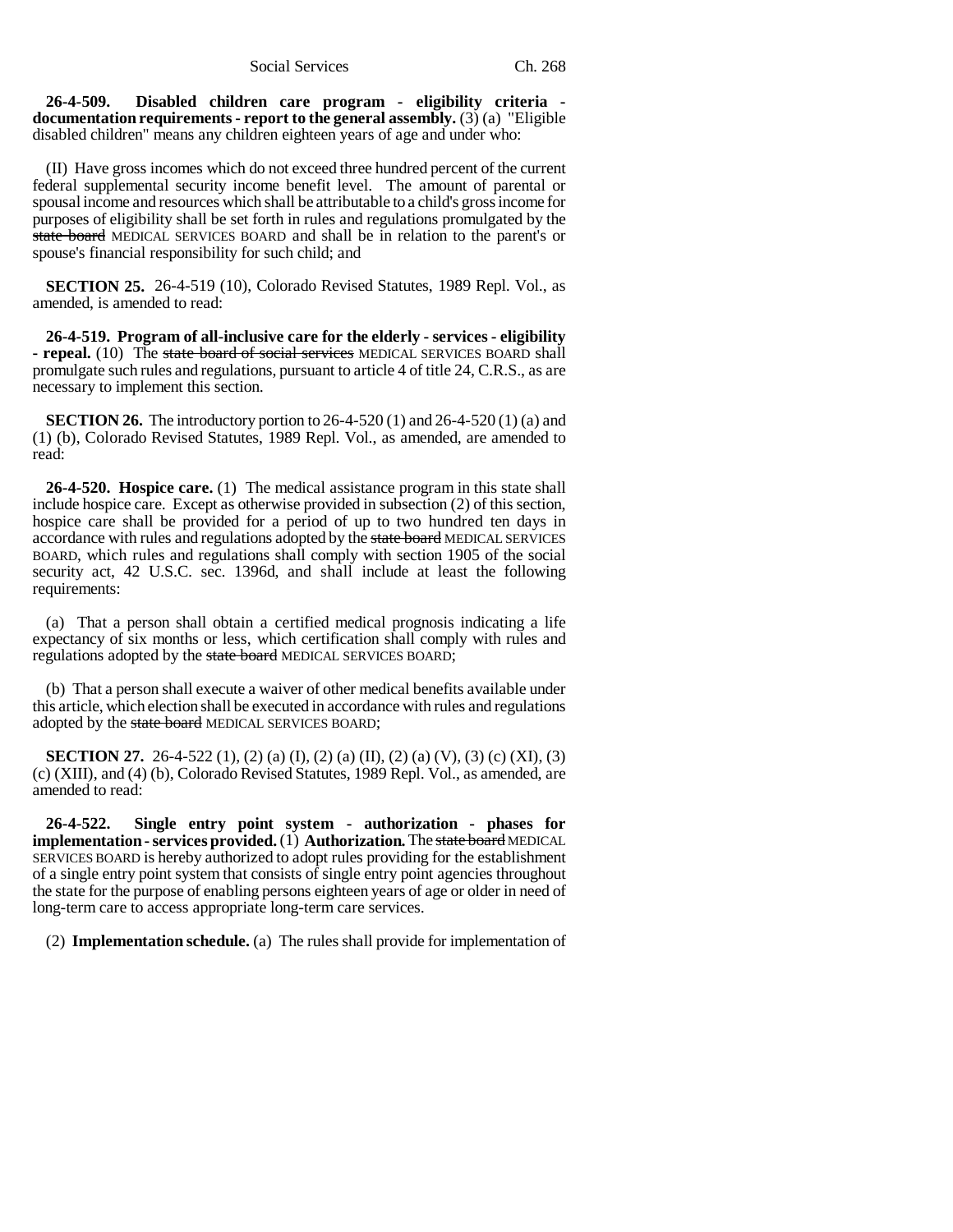**26-4-509. Disabled children care program - eligibility criteria documentation requirements - report to the general assembly.** (3) (a) "Eligible disabled children" means any children eighteen years of age and under who:

(II) Have gross incomes which do not exceed three hundred percent of the current federal supplemental security income benefit level. The amount of parental or spousal income and resources which shall be attributable to a child's gross income for purposes of eligibility shall be set forth in rules and regulations promulgated by the state board MEDICAL SERVICES BOARD and shall be in relation to the parent's or spouse's financial responsibility for such child; and

**SECTION 25.** 26-4-519 (10), Colorado Revised Statutes, 1989 Repl. Vol., as amended, is amended to read:

**26-4-519. Program of all-inclusive care for the elderly - services - eligibility - repeal.** (10) The state board of social services MEDICAL SERVICES BOARD shall promulgate such rules and regulations, pursuant to article 4 of title 24, C.R.S., as are necessary to implement this section.

**SECTION 26.** The introductory portion to 26-4-520 (1) and 26-4-520 (1) (a) and (1) (b), Colorado Revised Statutes, 1989 Repl. Vol., as amended, are amended to read:

**26-4-520. Hospice care.** (1) The medical assistance program in this state shall include hospice care. Except as otherwise provided in subsection (2) of this section, hospice care shall be provided for a period of up to two hundred ten days in accordance with rules and regulations adopted by the state board MEDICAL SERVICES BOARD, which rules and regulations shall comply with section 1905 of the social security act, 42 U.S.C. sec. 1396d, and shall include at least the following requirements:

(a) That a person shall obtain a certified medical prognosis indicating a life expectancy of six months or less, which certification shall comply with rules and regulations adopted by the state board MEDICAL SERVICES BOARD;

(b) That a person shall execute a waiver of other medical benefits available under this article, which election shall be executed in accordance with rules and regulations adopted by the state board MEDICAL SERVICES BOARD;

**SECTION 27.** 26-4-522 (1), (2) (a) (I), (2) (a) (II), (2) (a) (V), (3) (c) (XI), (3) (c) (XIII), and (4) (b), Colorado Revised Statutes, 1989 Repl. Vol., as amended, are amended to read:

**26-4-522. Single entry point system - authorization - phases for implementation - services provided.** (1) **Authorization.** The state board MEDICAL SERVICES BOARD is hereby authorized to adopt rules providing for the establishment of a single entry point system that consists of single entry point agencies throughout the state for the purpose of enabling persons eighteen years of age or older in need of long-term care to access appropriate long-term care services.

(2) **Implementation schedule.** (a) The rules shall provide for implementation of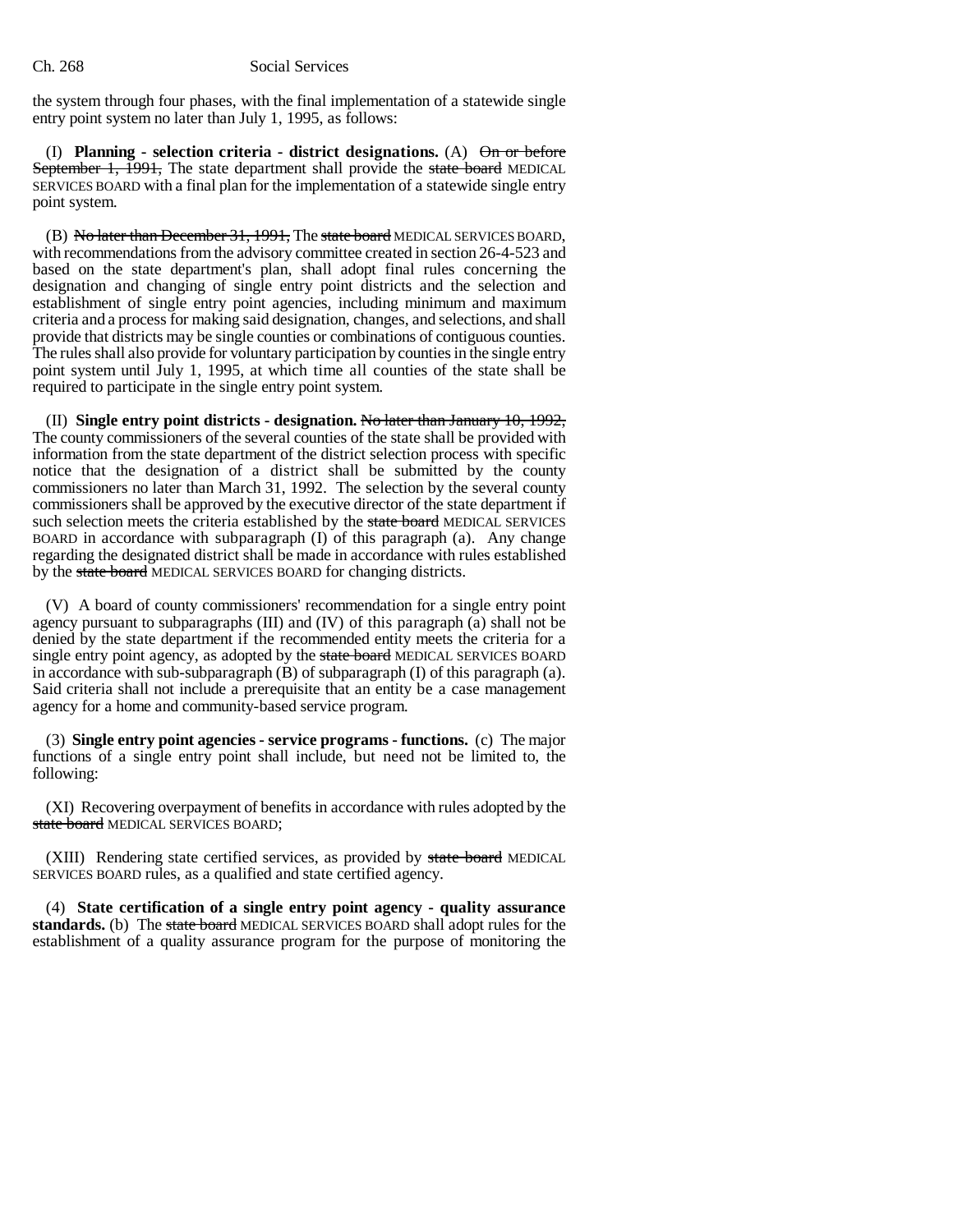the system through four phases, with the final implementation of a statewide single entry point system no later than July 1, 1995, as follows:

(I) **Planning - selection criteria - district designations.** (A) On or before September 1, 1991, The state department shall provide the state board MEDICAL SERVICES BOARD with a final plan for the implementation of a statewide single entry point system.

(B) No later than December 31, 1991, The state board MEDICAL SERVICES BOARD, with recommendations from the advisory committee created in section 26-4-523 and based on the state department's plan, shall adopt final rules concerning the designation and changing of single entry point districts and the selection and establishment of single entry point agencies, including minimum and maximum criteria and a process for making said designation, changes, and selections, and shall provide that districts may be single counties or combinations of contiguous counties. The rules shall also provide for voluntary participation by counties in the single entry point system until July 1, 1995, at which time all counties of the state shall be required to participate in the single entry point system.

(II) **Single entry point districts - designation.** No later than January 10, 1992, The county commissioners of the several counties of the state shall be provided with information from the state department of the district selection process with specific notice that the designation of a district shall be submitted by the county commissioners no later than March 31, 1992. The selection by the several county commissioners shall be approved by the executive director of the state department if such selection meets the criteria established by the state board MEDICAL SERVICES BOARD in accordance with subparagraph (I) of this paragraph (a). Any change regarding the designated district shall be made in accordance with rules established by the state board MEDICAL SERVICES BOARD for changing districts.

(V) A board of county commissioners' recommendation for a single entry point agency pursuant to subparagraphs (III) and (IV) of this paragraph (a) shall not be denied by the state department if the recommended entity meets the criteria for a single entry point agency, as adopted by the state board MEDICAL SERVICES BOARD in accordance with sub-subparagraph  $(B)$  of subparagraph  $(I)$  of this paragraph  $(a)$ . Said criteria shall not include a prerequisite that an entity be a case management agency for a home and community-based service program.

(3) **Single entry point agencies - service programs - functions.** (c) The major functions of a single entry point shall include, but need not be limited to, the following:

(XI) Recovering overpayment of benefits in accordance with rules adopted by the state board MEDICAL SERVICES BOARD;

(XIII) Rendering state certified services, as provided by state board MEDICAL SERVICES BOARD rules, as a qualified and state certified agency.

(4) **State certification of a single entry point agency - quality assurance standards.** (b) The state board MEDICAL SERVICES BOARD shall adopt rules for the establishment of a quality assurance program for the purpose of monitoring the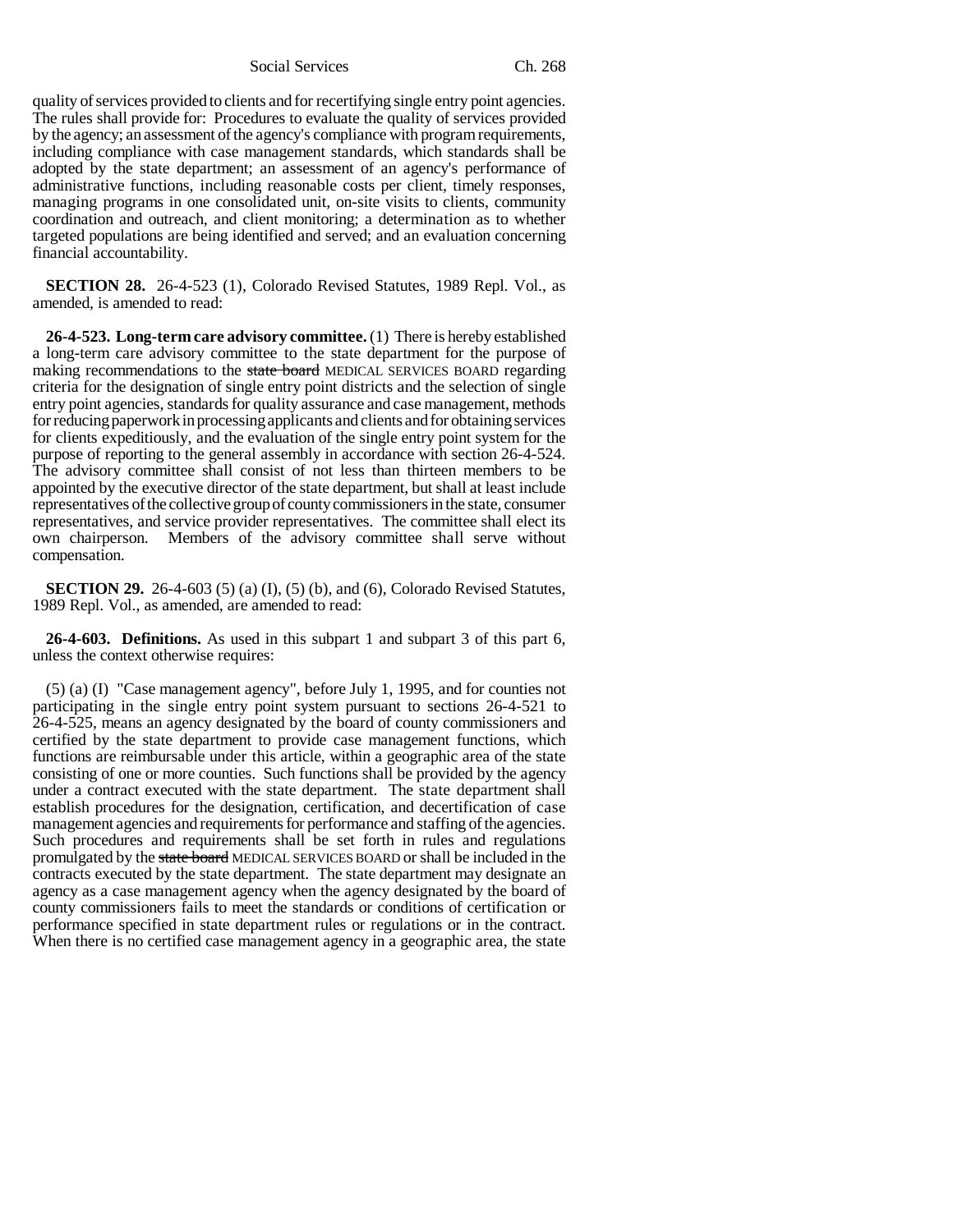quality of services provided to clients and for recertifying single entry point agencies. The rules shall provide for: Procedures to evaluate the quality of services provided by the agency; an assessment of the agency's compliance with program requirements, including compliance with case management standards, which standards shall be adopted by the state department; an assessment of an agency's performance of administrative functions, including reasonable costs per client, timely responses, managing programs in one consolidated unit, on-site visits to clients, community coordination and outreach, and client monitoring; a determination as to whether targeted populations are being identified and served; and an evaluation concerning financial accountability.

**SECTION 28.** 26-4-523 (1), Colorado Revised Statutes, 1989 Repl. Vol., as amended, is amended to read:

**26-4-523. Long-term care advisory committee.** (1) There is hereby established a long-term care advisory committee to the state department for the purpose of making recommendations to the state board MEDICAL SERVICES BOARD regarding criteria for the designation of single entry point districts and the selection of single entry point agencies, standards for quality assurance and case management, methods for reducing paperwork in processing applicants and clients and for obtaining services for clients expeditiously, and the evaluation of the single entry point system for the purpose of reporting to the general assembly in accordance with section 26-4-524. The advisory committee shall consist of not less than thirteen members to be appointed by the executive director of the state department, but shall at least include representatives of the collective group of county commissioners in the state, consumer representatives, and service provider representatives. The committee shall elect its own chairperson. Members of the advisory committee shall serve without compensation.

**SECTION 29.** 26-4-603 (5) (a) (I), (5) (b), and (6), Colorado Revised Statutes, 1989 Repl. Vol., as amended, are amended to read:

**26-4-603. Definitions.** As used in this subpart 1 and subpart 3 of this part 6, unless the context otherwise requires:

(5) (a) (I) "Case management agency", before July 1, 1995, and for counties not participating in the single entry point system pursuant to sections 26-4-521 to 26-4-525, means an agency designated by the board of county commissioners and certified by the state department to provide case management functions, which functions are reimbursable under this article, within a geographic area of the state consisting of one or more counties. Such functions shall be provided by the agency under a contract executed with the state department. The state department shall establish procedures for the designation, certification, and decertification of case management agencies and requirements for performance and staffing of the agencies. Such procedures and requirements shall be set forth in rules and regulations promulgated by the state board MEDICAL SERVICES BOARD or shall be included in the contracts executed by the state department. The state department may designate an agency as a case management agency when the agency designated by the board of county commissioners fails to meet the standards or conditions of certification or performance specified in state department rules or regulations or in the contract. When there is no certified case management agency in a geographic area, the state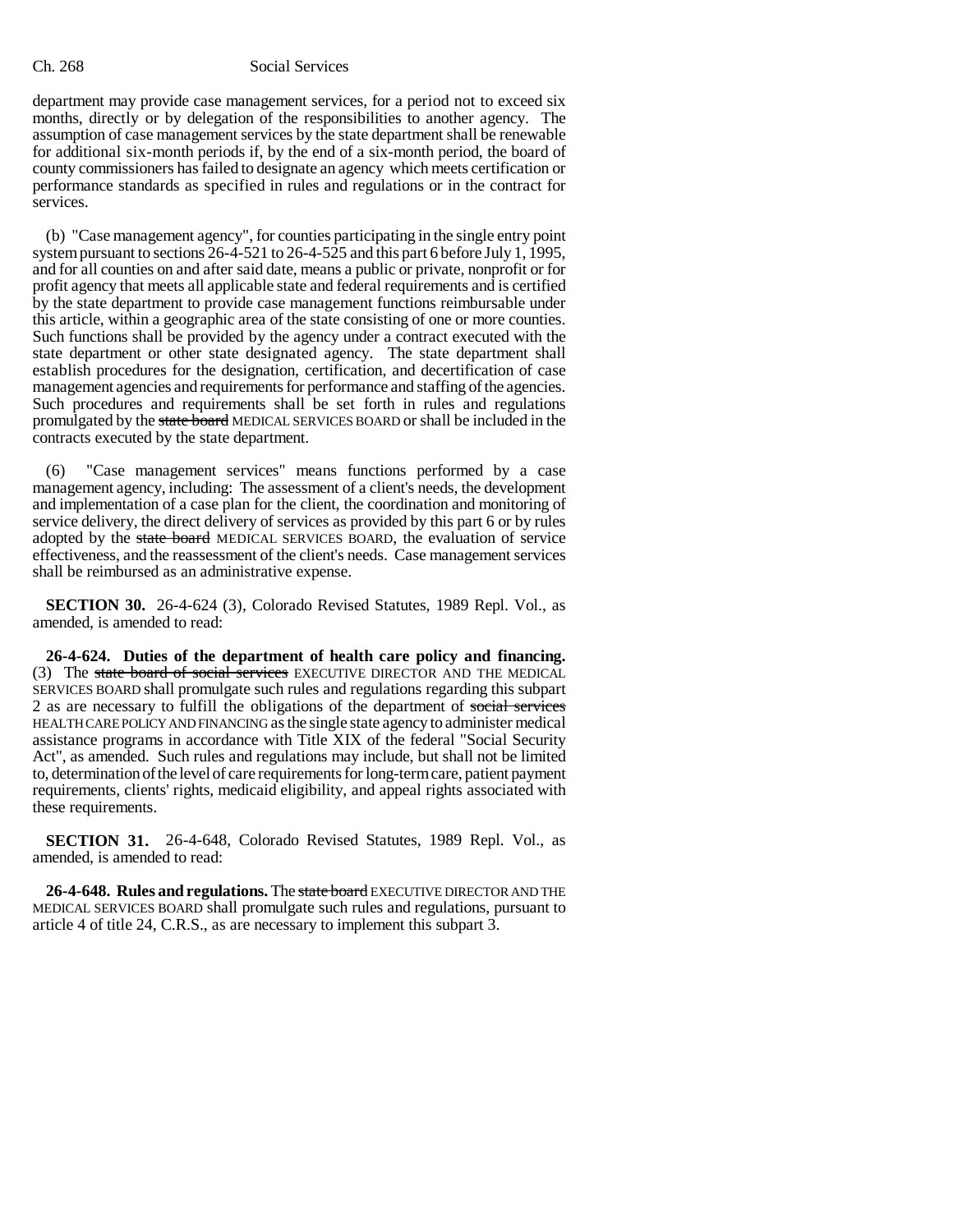department may provide case management services, for a period not to exceed six months, directly or by delegation of the responsibilities to another agency. The assumption of case management services by the state department shall be renewable for additional six-month periods if, by the end of a six-month period, the board of county commissioners has failed to designate an agency which meets certification or performance standards as specified in rules and regulations or in the contract for services.

(b) "Case management agency", for counties participating in the single entry point system pursuant to sections 26-4-521 to 26-4-525 and this part 6 before July 1, 1995, and for all counties on and after said date, means a public or private, nonprofit or for profit agency that meets all applicable state and federal requirements and is certified by the state department to provide case management functions reimbursable under this article, within a geographic area of the state consisting of one or more counties. Such functions shall be provided by the agency under a contract executed with the state department or other state designated agency. The state department shall establish procedures for the designation, certification, and decertification of case management agencies and requirements for performance and staffing of the agencies. Such procedures and requirements shall be set forth in rules and regulations promulgated by the state board MEDICAL SERVICES BOARD or shall be included in the contracts executed by the state department.

(6) "Case management services" means functions performed by a case management agency, including: The assessment of a client's needs, the development and implementation of a case plan for the client, the coordination and monitoring of service delivery, the direct delivery of services as provided by this part 6 or by rules adopted by the state board MEDICAL SERVICES BOARD, the evaluation of service effectiveness, and the reassessment of the client's needs. Case management services shall be reimbursed as an administrative expense.

**SECTION 30.** 26-4-624 (3), Colorado Revised Statutes, 1989 Repl. Vol., as amended, is amended to read:

**26-4-624. Duties of the department of health care policy and financing.** (3) The state board of social services EXECUTIVE DIRECTOR AND THE MEDICAL SERVICES BOARD shall promulgate such rules and regulations regarding this subpart 2 as are necessary to fulfill the obligations of the department of social services HEALTH CARE POLICY AND FINANCING as the single state agency to administer medical assistance programs in accordance with Title XIX of the federal "Social Security Act", as amended. Such rules and regulations may include, but shall not be limited to, determination of the level of care requirements for long-term care, patient payment requirements, clients' rights, medicaid eligibility, and appeal rights associated with these requirements.

**SECTION 31.** 26-4-648, Colorado Revised Statutes, 1989 Repl. Vol., as amended, is amended to read:

**26-4-648. Rules and regulations.** The state board EXECUTIVE DIRECTOR AND THE MEDICAL SERVICES BOARD shall promulgate such rules and regulations, pursuant to article 4 of title 24, C.R.S., as are necessary to implement this subpart 3.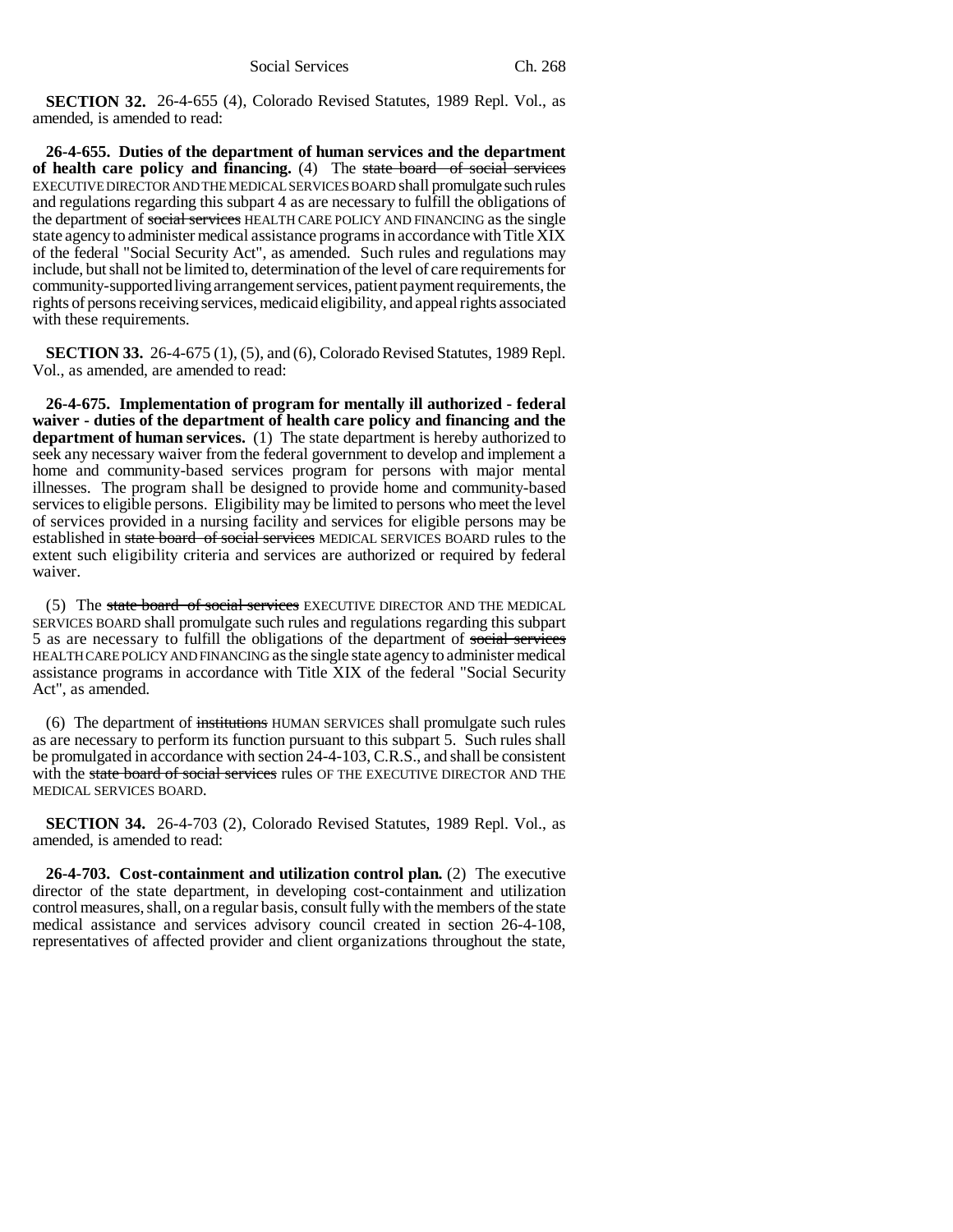**SECTION 32.** 26-4-655 (4), Colorado Revised Statutes, 1989 Repl. Vol., as amended, is amended to read:

**26-4-655. Duties of the department of human services and the department of health care policy and financing.** (4) The state board of social services EXECUTIVE DIRECTOR AND THE MEDICAL SERVICES BOARD shall promulgate such rules and regulations regarding this subpart 4 as are necessary to fulfill the obligations of the department of social services HEALTH CARE POLICY AND FINANCING as the single state agency to administer medical assistance programs in accordance with Title XIX of the federal "Social Security Act", as amended. Such rules and regulations may include, but shall not be limited to, determination of the level of care requirements for community-supported living arrangement services, patient payment requirements, the rights of persons receiving services, medicaid eligibility, and appeal rights associated with these requirements.

**SECTION 33.** 26-4-675 (1), (5), and (6), Colorado Revised Statutes, 1989 Repl. Vol., as amended, are amended to read:

**26-4-675. Implementation of program for mentally ill authorized - federal waiver - duties of the department of health care policy and financing and the department of human services.** (1) The state department is hereby authorized to seek any necessary waiver from the federal government to develop and implement a home and community-based services program for persons with major mental illnesses. The program shall be designed to provide home and community-based services to eligible persons. Eligibility may be limited to persons who meet the level of services provided in a nursing facility and services for eligible persons may be established in state board of social services MEDICAL SERVICES BOARD rules to the extent such eligibility criteria and services are authorized or required by federal waiver.

(5) The state board of social services EXECUTIVE DIRECTOR AND THE MEDICAL SERVICES BOARD shall promulgate such rules and regulations regarding this subpart 5 as are necessary to fulfill the obligations of the department of social services HEALTH CARE POLICY AND FINANCING as the single state agency to administer medical assistance programs in accordance with Title XIX of the federal "Social Security Act", as amended.

(6) The department of institutions HUMAN SERVICES shall promulgate such rules as are necessary to perform its function pursuant to this subpart 5. Such rules shall be promulgated in accordance with section 24-4-103, C.R.S., and shall be consistent with the state board of social services rules OF THE EXECUTIVE DIRECTOR AND THE MEDICAL SERVICES BOARD.

**SECTION 34.** 26-4-703 (2), Colorado Revised Statutes, 1989 Repl. Vol., as amended, is amended to read:

**26-4-703. Cost-containment and utilization control plan.** (2) The executive director of the state department, in developing cost-containment and utilization control measures, shall, on a regular basis, consult fully with the members of the state medical assistance and services advisory council created in section 26-4-108, representatives of affected provider and client organizations throughout the state,